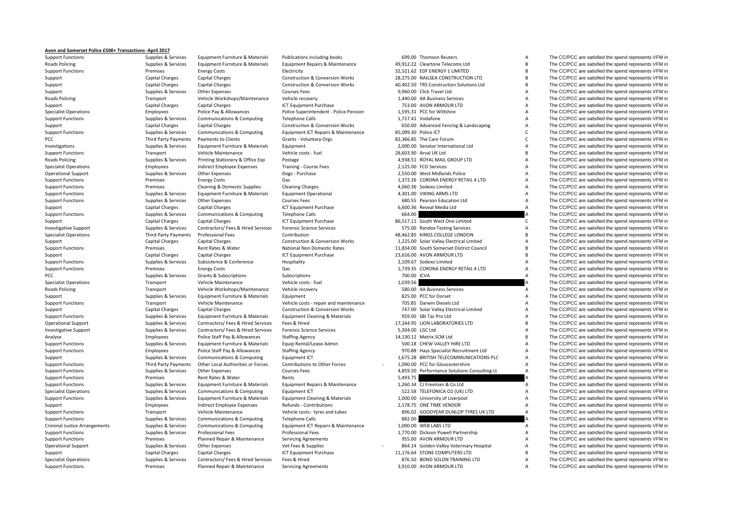## **Avon and Somerset Police £500+ Transactions ‐April 2017**

**Roads Policing Roads Policing** PCC Third Party Payments **Roads Policing Roads Policing** Criminal Justice

Support Functions Supplies Supplies & Services Equipment Furniture & Materials Publications including books 699.00 Thomson Reuters A The CC/PCC are satisfied the spend represents VFM in

 Policing Supplies & Services Equipment Furniture & Materials Equipment Repairs & Maintenance 49,912.22 Cleartone Telecoms Ltd B The CC/PCC are satisfied the spend represents VFM in Support Functions Premises Energy Costs Electricity Electricity 32,521.62 EDF ENERGY 1 LIMITED B The CC/PCC are satisfied the spend represents VFM in Support Capital Charges Capital Charges Capital Charges Construction & Conversion Works 28,275.00 NAILSEA CONSTRUCTION LTD B The CC/PCC are satisfied the spend represents VFM in Support Capital Charges Capital Charges Construction & Conversion Works 40,402.50 TRS Construction Solutions Ltd B The CC/PCC are satisfied the spend represents VFM in Support Supplies & Services Other Expenses Courses Fees Courses Fees 9,960.00 Click Travel Ltd A The CC/PCC are satisfied the spend represents VFM in Transport Vehicle Workshops/Maintenance Vehicle recovery 1,440.00 AA Business Services and The CC/PCC are satisfied the spend represents VFM in Capital Charges Capital Charges A Capital Charges Capital Charges Capital Char Support Capital Charges Capital Charges Capital Charges ICT Equipment Purchase 753.00 AVON ARMOUR LTD A The CC/PCC are satisfied the spend represents VFM in Specialist Operations Specialist Operations Employees Police Pay & Allowances Police Pay example and the Superintendent - Police Pension 1,595.31 PCC for Wiltshire A The CC/PCC are satisfied the spend represents VFM in Support Functions Supplies & Services Communications & Computing Telephone Calls 1,717.41 Vodafone 1,1717.41 Vodafone A The CC/PCC are satisfied the spend represents VFM in Support Capital Charges Capital Charges Capital Charges Construction & Construction & Conversion Works 650.00 Advanced Fencing & Landscaping A The CC/PCC are satisfied the spend represents VFM in Support Functions Support Support Functions Supplies Services Communications & Computing Fould Function Support The CO/PCC are satisfied the spend represents VFM in Payments to Clients Crants - Voluntary Orgs 82,366.85 The Care Forum C The CC/PCC are satisfied the spend represents VFM in Investigations Supplies & Services Equipment Furniture & Materials Equipment 2.000.00 Senator International Ltd A The CC/PCC are satisfied the spend represents VFM in Support Functions Transport Vehicle Maintenance Vehicle costs ← fuel 28,603.90 Arval UK Ltd B The CC/PCC are satisfied the spend represents VFM in Supplies & Services Printing Stationery & Office Exp Postage exp Postage and the spend represents VFM in A The CC/PCC are satisfied the spend represents VFM in Specialist Operations Specialist Operations Employees Indirect Employee Expenses Training - Course Fees 2,125.00 FCO Services A The CC/PCC are satisfied the spend represents VFM in Operational Support Support Support Support Support Other Expenses Dogs - Purchase 2,550.00 West Midlands Police A The CC/PCC are satisfied the spend represents VFM in Support Functions energy Costs Energy Costs Gas Gas and Costs and the Support Functions A The CC/PCC are satisfied the spend represents VFM in Support Functions examples of the Domestic Supplies Cleaning & Domestic Supplies Cleaning Charges Cleaning Charges 4,060.36 Sodexo Limited A The CC/PCC are satisfied the spend represents VFM in Support Functions Supplies & Services Equipment Furniture & Materials Equipment Operational 4,301.00 VIKING ARMS LTD A The CC/PCC are satisfied the spend represents VFM in Support Functions Supplies Supplies & Services Other Expenses Courses Fees Courses Fees Courses Fees 680.55 Pearson Education Ltd A The CC/PCC are satisfied the spend represents VFM in<br>Support The CC/PCC are satisfied the Support Capital Charges Capital Charges Capital Charges ICT Equipment Purchase 6,600.36 Reveal Media Ltd A The CC/PCC are satisfied the spend represents VFM in Support Functions Supplies Supplies & Services Communications & Computing Telephone Calls 664.00 664.00 A The CC/PCC are satisfied the spend represents VFM in Supplies & Services Capital Charges Capital Charges Capital Cha Support Capital Charges Capital Charges ICT Equipment Purchase 86,517.11 South West One Limited C The CC/PCC are satisfied the spend represents VFM in Investigative Support Supplies Services Contractors/ Fees & Hired Services Forensic Science Services Forensic Science Services Forensic Science Services 575.00 Randox Testing Services A The CC/PCC are satisfied the spend r Specialist Operations Third Party Payments Professional Fees Contribution Contribution 48,462.85 KINGS COLLEGE LONDON B The CC/PCC are satisfied the spend represents VFM in Support Capital Charges Capital Charges Capital Charges Construction & Conversion Works 1,225.00 Solar Valley Electrical Limited A The CC/PCC are satisfied the spend represents VFM in Support Functions Premises Rent Rates & Water National Non Domestic Rates 11,834.00 South Somerset District Council B The CC/PCC are satisfied the spend represents VFM in Support Capital Charges Capital Charges Capital Charges ICT Equipment Purchase 23,616.00 AVON ARMOUR LTD B The CC/PCC are satisfied the spend represents VFM in Support Functions Supplies & Services Subsistence & Conference Hospitality Hospitality 2,109.67 Sodexo Limited A The CC/PCC are satisfied the spend represents VFM in Support Functions energy Costs Energy Costs Gas Gas and Costs Cases Capaca 2,739.35 CORONA ENERGY RETAIL 4 LTD A The CC/PCC are satisfied the spend represents VFM in PCC PEC Supplies & Services Grants & Subscriptions Subscriptions Subscriptions Subscriptions Subscriptions Subscriptions 700.00 ICVA A The CC/PCC are satisfied the spend represents VFM in Specialist Operations Specialist Operations Transport Vehicle Maintenance Vehicle costs - fuel 1,039.56 A The CC/PCC are satisfied the spend represents VFM in Reads Policing Costs and the Spend represents VFM in Reads Poli Transport Vehicle Workshops/Maintenance Vehicle recovery S80.00 AA Business Services A The CC/PCC are satisfied the spend represents VFM in Support Supplies & Services Equipment Furniture & Materials Equipment A Support Basic Support Support A The CC/PCC are satisfied the spend represents VFM in Support Functions Transport Vehicle Maintenance Vehicle costs - repair and maintenance 705.85 Darwin Diesels Ltd A The CC/PCC are satisfied the spend represents VFM in Support Capital Charges Capital Charges Capital Charges Construction & Conversion Works 747.00 Solar Valley Electrical Limited A The CC/PCC are satisfied the spend represents VFM in Supplies & Services Equipment Furniture Support Functions Supplies Supplies & Services Equipment Furniture & Materials Equipment Cleaning & Materials 959.00 SBI Tac Pro Ltd A The CC/PCC are satisfied the spend represents VFM in Correctional Support Support Suppo Operational Support Supplies & Services Contractors/ Fees & Hired Services Fees & Hired 17,244.95 LION LABORATORIES LTD B The CC/PCC are satisfied the spend represents VFM in Investigative Support Supplies Americas Services Contractors/ Fees & Hired Services Forensic Science Services Forensic Science Services 5,304.00 LGC Ltd A The CC/PCC are satisfied the spend represents VFM in Analyse Police Analyse Employees Police Staff Pay & Allowances Staffing Agency 14,130.12 Matrix SCM Ltd B The CC/PCC are satisfied the spend represents VFM in Support Functions Supplies Asservices Equipment Furniture & Materials Equip Rental/Lease Admin 500.18 CHEW VALLEY HIRE LTD A The CC/PCC are satisfied the spend represents VFM in Support Functions Employees Police Staff Pay & Allowances Staffing Agency Staff Pay Bend and the State of the State A The CC/PCC are satisfied the spend represents VFM in Support Supplies & Services Communications & Computing Equipment ICT 1,675.28 BRITISH TELECOMMUNICATIONS PLC A The CC/PCC are satisfied the spend represents VFM in Support Functions Third Party Payments Other Local Authorities or Forces Contributions to Other Forces - 1,090,00 PCC for Gloucestershire A The CC/PCC are satisfied the spend represents VFM in Support Functions Supplies & Services Other Expenses Courses Fees Courses Fees 4,859.20 Performance Solutions Consulting Lt A The CC/PCC are satisfied the spend represents VFM in Support Functions Premises Rent Rates & Water Rents 5,493.75 A The CC/PCC are satisfied the spend represents VFM in Support Functions Supplies & Services Equipment Furniture & Materials Equipment Repairs & Maintenance 1,260.34 CJ Freeman & Co Ltd A The CC/PCC are satisfied the spend represents VFM in Specialist Operations Supplies & Services Communications & Computing Equipment ICT 522.58 TELEFONICA O2 (UK) LTD A The CC/PCC are satisfied the spend represents VFM in Support Functions Supplies Supplies & Services Equipment Furniture & Materials Equipment Cleaning & Materials 1,000.00 University of Liverpool and the CC/PCC are satisfied the spend represents VFM in Support of the CC/PCC Support Employees Support Employee Expenses Refunds - Contributions 2,178.75 ONE TIME VENDOR A The CC/PCC are satisfied the spend represents VFM in Support Functions Transport Vehicle Maintenance Vehicle costs - tyres and tubes 896.02 GOODYEAR DUNLOP TYRES UK LTD A The CC/PCC are satisfied the spend represents VFM in Support Functions Supplies & Services Communications & Computing Telephone Calls 882.00 882.00 A The CC/PCC are satisfied the spend represents VFM in Supplies & Services Communications & Computing Equipment ICT Repairs & Maintenance 1,000.00 WEB LABS LTD A The CC/PCC are satisfied the spend represents VFM in Support Functions Supplies Americas Services Professional Fees Professional Fees Professional Fees Professional Fees Professional Fees 1,770.00 Dickson Powell Partnership A The CC/PCC are satisfied the spend represents VFM Support Functions **Premises** Planned Repair & Maintenance Servicing Agreements 955.00 AVON ARMOUR LTD A The CC/PCC are satisfied the spend represents VFM in Operational Support Supplies A Services Other Expenses Vet Fees & Supplies Vertex Capital Character Control of Expenses Vet Fees & Supplies Vertex Capital A The CC/PCC are satisfied the spend represents VFM in Support Capi Support Capital Charges Capital Charges Capital Charges ICT Equipment Purchase 11,176.64 STONE COMPUTERS LTD B The CC/PCC are satisfied the spend represents VFM in Specialist Operations Supplies Services Contractors/ Fees & Hired Services Fees & Hired Services Fees & Hired Services Fees & Hired Services Fees & Hired 876.50 BOND SOLON TRAINING LTD A The CC/PCC are satisfied the spend Support Functions examples Planned Repair & Maintenance Servicing Agreements 3,910.00 AVON ARMOUR LTD A The CC/PCC are satisfied the spend represents VFM in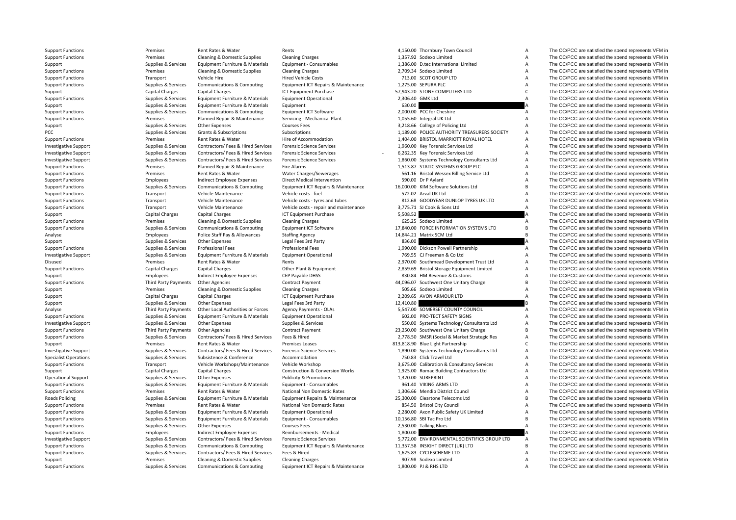| <b>Support Functions</b>     | Premises                          | Rent Rates & Water                                     | Rents                                             |                  | 4,150.00 Thornbury Town Council                                       | А                   | The CC/PCC are satisfied the spend represents VFM in                                                         |
|------------------------------|-----------------------------------|--------------------------------------------------------|---------------------------------------------------|------------------|-----------------------------------------------------------------------|---------------------|--------------------------------------------------------------------------------------------------------------|
| <b>Support Functions</b>     | Premises                          | Cleaning & Domestic Supplies                           | <b>Cleaning Charges</b>                           |                  | 1,357.92 Sodexo Limited                                               | $\overline{A}$      | The CC/PCC are satisfied the spend represents VFM in                                                         |
| Support                      | Supplies & Services               | Equipment Furniture & Materials                        | Equipment - Consumables                           |                  | 1,386.00 D.tec International Limited                                  | $\overline{A}$      | The CC/PCC are satisfied the spend represents VFM in                                                         |
| <b>Support Functions</b>     | Premises                          | Cleaning & Domestic Supplies                           | <b>Cleaning Charges</b>                           |                  | 2,709.34 Sodexo Limited                                               | $\overline{A}$      | The CC/PCC are satisfied the spend represents VFM in                                                         |
| <b>Support Functions</b>     | Transport                         | Vehicle Hire                                           | <b>Hired Vehicle Costs</b>                        |                  | 713.00 SCOT GROUP LTD                                                 | $\overline{A}$      | The CC/PCC are satisfied the spend represents VFM in                                                         |
| <b>Support Functions</b>     | Supplies & Services               | Communications & Computing                             | Equipment ICT Repairs & Maintenance               |                  | 1,275.00 SEPURA PLC                                                   | $\overline{A}$      | The CC/PCC are satisfied the spend represents VFM in                                                         |
| Support                      | Capital Charges                   | Capital Charges                                        | ICT Equipment Purchase                            |                  | 57,943.20 STONE COMPUTERS LTD                                         | $\mathsf{C}$        | The CC/PCC are satisfied the spend represents VFM in                                                         |
| <b>Support Functions</b>     | Supplies & Services               | Equipment Furniture & Materials                        | <b>Equipment Operational</b>                      | 2,306.40 GMK Ltd |                                                                       | $\overline{A}$      | The CC/PCC are satisfied the spend represents VFM in                                                         |
| Support                      | Supplies & Services               | Equipment Furniture & Materials                        | Equipment                                         | 630.00           |                                                                       |                     | The CC/PCC are satisfied the spend represents VFM in                                                         |
| <b>Support Functions</b>     | Supplies & Services               | Communications & Computing                             | Equipment ICT Software                            |                  | 2,000.00 PCC for Cheshire                                             | $\overline{A}$      | The CC/PCC are satisfied the spend represents VFM in                                                         |
| <b>Support Functions</b>     | Premises                          | Planned Repair & Maintenance                           | Servicing - Mechanical Plant                      |                  | 1,055.60 Integral UK Ltd                                              | $\overline{A}$      | The CC/PCC are satisfied the spend represents VFM in                                                         |
| Support                      | Supplies & Services               | <b>Other Expenses</b>                                  | <b>Courses Fees</b>                               |                  | 3,218.66 College of Policing Ltd                                      | A                   | The CC/PCC are satisfied the spend represents VFM in                                                         |
| PCC                          | Supplies & Services               | Grants & Subscriptions                                 | Subscriptions                                     |                  | 1,189.00 POLICE AUTHORITY TREASURERS SOCIETY                          | $\overline{A}$      | The CC/PCC are satisfied the spend represents VFM in                                                         |
| <b>Support Functions</b>     | Premises                          | Rent Rates & Water                                     | Hire of Accommodation                             |                  | 1,404.00 BRISTOL MARRIOTT ROYAL HOTEL                                 | $\overline{A}$      | The CC/PCC are satisfied the spend represents VFM in                                                         |
| <b>Investigative Support</b> | Supplies & Services               | Contractors/ Fees & Hired Services                     | <b>Forensic Science Services</b>                  |                  | 1,960.00 Key Forensic Services Ltd                                    | $\overline{A}$      | The CC/PCC are satisfied the spend represents VFM in                                                         |
| <b>Investigative Support</b> | Supplies & Services               | Contractors/ Fees & Hired Services                     | <b>Forensic Science Services</b>                  |                  | 6,262.35 Key Forensic Services Ltd                                    | $\overline{A}$      | The CC/PCC are satisfied the spend represents VFM in                                                         |
| <b>Investigative Support</b> | Supplies & Services               | Contractors/ Fees & Hired Services                     | <b>Forensic Science Services</b>                  |                  | 1,860.00 Systems Technology Consultants Ltd                           | $\overline{A}$      | The CC/PCC are satisfied the spend represents VFM in                                                         |
| <b>Support Functions</b>     | Premises                          | Planned Repair & Maintenance                           | Fire Alarms                                       |                  | 1,513.87 STATIC SYSTEMS GROUP PLC                                     | $\overline{A}$      | The CC/PCC are satisfied the spend represents VFM in                                                         |
| <b>Support Functions</b>     | Premises                          | Rent Rates & Water                                     | Water Charges/Sewerages                           |                  | 561.16 Bristol Wessex Billing Service Ltd                             | $\overline{A}$      | The CC/PCC are satisfied the spend represents VFM in                                                         |
| <b>Support Functions</b>     | Employees                         | Indirect Employee Expenses                             | Direct Medical Intervention                       |                  | 590.00 Dr P Aylard                                                    | $\overline{A}$      | The CC/PCC are satisfied the spend represents VFM in                                                         |
| <b>Support Functions</b>     | Supplies & Services               | Communications & Computing                             | Equipment ICT Repairs & Maintenance               |                  | 16,000.00 KIM Software Solutions Ltd                                  | B                   | The CC/PCC are satisfied the spend represents VFM in                                                         |
| <b>Support Functions</b>     | Transport                         | Vehicle Maintenance                                    | Vehicle costs - fuel                              |                  | 572.02 Arval UK Ltd                                                   | $\overline{A}$      | The CC/PCC are satisfied the spend represents VFM in                                                         |
| <b>Support Functions</b>     | Transport                         | Vehicle Maintenance                                    | Vehicle costs - tyres and tubes                   |                  | 812.68 GOODYEAR DUNLOP TYRES UK LTD                                   | $\overline{A}$      | The CC/PCC are satisfied the spend represents VFM in                                                         |
| <b>Support Functions</b>     | Transport                         | Vehicle Maintenance                                    | Vehicle costs - repair and maintenance            |                  | 3,775.71 SJ Cook & Sons Ltd                                           | $\overline{A}$      | The CC/PCC are satisfied the spend represents VFM in                                                         |
| Support                      | Capital Charges                   | <b>Capital Charges</b>                                 | ICT Equipment Purchase                            | 5,508.52         |                                                                       |                     | The CC/PCC are satisfied the spend represents VFM in                                                         |
| <b>Support Functions</b>     | Premises                          | Cleaning & Domestic Supplies                           | <b>Cleaning Charges</b>                           |                  | 625.25 Sodexo Limited                                                 | Α                   | The CC/PCC are satisfied the spend represents VFM in                                                         |
| <b>Support Functions</b>     | Supplies & Services               | Communications & Computing                             | <b>Equipment ICT Software</b>                     |                  | 17,840.00 FORCE INFORMATION SYSTEMS LTD                               | B                   | The CC/PCC are satisfied the spend represents VFM in                                                         |
| Analyse                      | Employees                         | Police Staff Pay & Allowances                          | <b>Staffing Agency</b>                            |                  | 14,844.21 Matrix SCM Ltd                                              | $\overline{B}$      | The CC/PCC are satisfied the spend represents VFM in                                                         |
| Support                      | Supplies & Services               | Other Expenses                                         | Legal Fees 3rd Party                              | 836.00           |                                                                       |                     | The CC/PCC are satisfied the spend represents VFM in                                                         |
| <b>Support Functions</b>     | Supplies & Services               | <b>Professional Fees</b>                               | <b>Professional Fees</b>                          |                  | 1,990.00 Dickson Powell Partnership                                   | $\overline{A}$      | The CC/PCC are satisfied the spend represents VFM in                                                         |
| <b>Investigative Support</b> | Supplies & Services               | Equipment Furniture & Materials                        | <b>Equipment Operational</b>                      |                  | 769.55 CJ Freeman & Co Ltd                                            | $\overline{A}$      | The CC/PCC are satisfied the spend represents VFM in                                                         |
| Disused                      | Premises                          | Rent Rates & Water                                     | Rents                                             |                  | 2,970.00 Southmead Development Trust Ltd                              | Α                   | The CC/PCC are satisfied the spend represents VFM in                                                         |
|                              |                                   |                                                        |                                                   |                  |                                                                       | $\overline{A}$      | The CC/PCC are satisfied the spend represents VFM in                                                         |
| <b>Support Functions</b>     | Capital Charges                   | <b>Capital Charges</b>                                 | Other Plant & Equipment                           |                  | 2,859.69 Bristol Storage Equipment Limited                            | A                   |                                                                                                              |
| Support                      | Employees<br>Third Party Payments | Indirect Employee Expenses<br><b>Other Agencies</b>    | CEP Payable DHSS<br><b>Contract Payment</b>       |                  | 830.84 HM Revenue & Customs<br>44,096.07 Southwest One Unitary Charge | B                   | The CC/PCC are satisfied the spend represents VFM in<br>The CC/PCC are satisfied the spend represents VFM in |
| <b>Support Functions</b>     | Premises                          |                                                        |                                                   |                  | 505.66 Sodexo Limited                                                 | $\overline{A}$      |                                                                                                              |
| Support                      | <b>Capital Charges</b>            | Cleaning & Domestic Supplies<br><b>Capital Charges</b> | <b>Cleaning Charges</b><br>ICT Equipment Purchase |                  | 2,209.65 AVON ARMOUR LTD                                              | $\overline{A}$      | The CC/PCC are satisfied the spend represents VFM in<br>The CC/PCC are satisfied the spend represents VFM in |
| Support                      |                                   |                                                        |                                                   |                  |                                                                       |                     |                                                                                                              |
| Support                      | Supplies & Services               | <b>Other Expenses</b>                                  | Legal Fees 3rd Party                              | 12,410.80        | 5,547.00 SOMERSET COUNTY COUNCIL                                      |                     | The CC/PCC are satisfied the spend represents VFM in<br>The CC/PCC are satisfied the spend represents VFM in |
| Analyse                      | <b>Third Party Payments</b>       | Other Local Authorities or Forces                      | <b>Agency Payments - OLAs</b>                     |                  |                                                                       | A<br>$\overline{A}$ |                                                                                                              |
| <b>Support Functions</b>     | Supplies & Services               | Equipment Furniture & Materials                        | <b>Equipment Operational</b>                      |                  | 602.00 PRO-TECT SAFETY SIGNS                                          |                     | The CC/PCC are satisfied the spend represents VFM in                                                         |
| <b>Investigative Support</b> | Supplies & Services               | <b>Other Expenses</b>                                  | Supplies & Services                               |                  | 550.00 Systems Technology Consultants Ltd                             | $\overline{A}$      | The CC/PCC are satisfied the spend represents VFM in                                                         |
| <b>Support Functions</b>     | <b>Third Party Payments</b>       | Other Agencies                                         | <b>Contract Payment</b>                           |                  | 23,250.00 Southwest One Unitary Charge                                | B                   | The CC/PCC are satisfied the spend represents VFM in                                                         |
| <b>Support Functions</b>     | Supplies & Services               | Contractors/ Fees & Hired Services                     | Fees & Hired                                      |                  | 2,778.50 SMSR (Social & Market Strategic Res                          | $\overline{A}$      | The CC/PCC are satisfied the spend represents VFM in                                                         |
| Support                      | Premises                          | Rent Rates & Water                                     | <b>Premises Leases</b>                            |                  | 813,818.90 Blue Light Partnership                                     | $\mathsf{C}$        | The CC/PCC are satisfied the spend represents VFM in                                                         |
| <b>Investigative Support</b> | Supplies & Services               | Contractors/ Fees & Hired Services                     | <b>Forensic Science Services</b>                  |                  | 1,890.00 Systems Technology Consultants Ltd                           | Α                   | The CC/PCC are satisfied the spend represents VFM in                                                         |
| <b>Specialist Operations</b> | Supplies & Services               | Subsistence & Conference                               | Accommodation                                     |                  | 750.83 Click Travel Ltd                                               | A                   | The CC/PCC are satisfied the spend represents VFM in                                                         |
| <b>Support Functions</b>     | Transport                         | Vehicle Workshops/Maintenance                          | Vehicle Workshop                                  |                  | 3,675.00 Calibration & Consultancy Services                           | $\overline{A}$      | The CC/PCC are satisfied the spend represents VFM in                                                         |
| Support                      | <b>Capital Charges</b>            | <b>Capital Charges</b>                                 | <b>Construction &amp; Conversion Works</b>        |                  | 1,925.00 Romac Building Contractors Ltd                               | $\overline{A}$      | The CC/PCC are satisfied the spend represents VFM in                                                         |
| <b>Operational Support</b>   | Supplies & Services               | <b>Other Expenses</b>                                  | <b>Publicity &amp; Promotions</b>                 |                  | 1,320.00 SUREPRINT                                                    | $\overline{A}$      | The CC/PCC are satisfied the spend represents VFM in                                                         |
| <b>Support Functions</b>     | Supplies & Services               | Equipment Furniture & Materials                        | Equipment - Consumables                           |                  | 961.40 VIKING ARMS LTD                                                | $\overline{A}$      | The CC/PCC are satisfied the spend represents VFM in                                                         |
| <b>Support Functions</b>     | Premises                          | Rent Rates & Water                                     | National Non Domestic Rates                       |                  | 1,306.66 Mendip District Council                                      | A                   | The CC/PCC are satisfied the spend represents VFM in                                                         |
| Roads Policing               | Supplies & Services               | Equipment Furniture & Materials                        | Equipment Repairs & Maintenance                   |                  | 25,300.00 Cleartone Telecoms Ltd                                      | B                   | The CC/PCC are satisfied the spend represents VFM in                                                         |
| <b>Support Functions</b>     | Premises                          | Rent Rates & Water                                     | National Non Domestic Rates                       |                  | 854.50 Bristol City Council                                           | $\overline{A}$      | The CC/PCC are satisfied the spend represents VFM in                                                         |
| <b>Support Functions</b>     | Supplies & Services               | Equipment Furniture & Materials                        | <b>Equipment Operational</b>                      |                  | 2,280.00 Axon Public Safety UK Limited                                | $\overline{A}$      | The CC/PCC are satisfied the spend represents VFM in                                                         |
| <b>Support Functions</b>     | Supplies & Services               | Equipment Furniture & Materials                        | Equipment - Consumables                           |                  | 10,156.80 SBI Tac Pro Ltd                                             | R <sub>1</sub>      | The CC/PCC are satisfied the spend represents VFM in                                                         |
| <b>Support Functions</b>     | Supplies & Services               | <b>Other Expenses</b>                                  | <b>Courses Fees</b>                               |                  | 2,530.00 Talking Blues                                                | $\Delta$            | The CC/PCC are satisfied the spend represents VFM in                                                         |
| <b>Support Functions</b>     | Employees                         | Indirect Employee Expenses                             | Reimbursements - Medical                          | 1,800.00         |                                                                       |                     | The CC/PCC are satisfied the spend represents VFM in                                                         |
| <b>Investigative Support</b> | Supplies & Services               | Contractors/ Fees & Hired Services                     | <b>Forensic Science Services</b>                  |                  | 5,772.00 ENVIRONMENTAL SCIENTIFICS GROUP LTD                          | A                   | The CC/PCC are satisfied the spend represents VFM in                                                         |
| <b>Support Functions</b>     | Supplies & Services               | <b>Communications &amp; Computing</b>                  | Equipment ICT Repairs & Maintenance               |                  | 11,357.58 INSIGHT DIRECT (UK) LTD                                     | B                   | The CC/PCC are satisfied the spend represents VFM in                                                         |
| <b>Support Functions</b>     | Supplies & Services               | Contractors/ Fees & Hired Services                     | Fees & Hired                                      |                  | 1,625.83 CYCLESCHEME LTD                                              | Α                   | The CC/PCC are satisfied the spend represents VFM in                                                         |
| Support                      | Premises                          | Cleaning & Domestic Supplies                           | <b>Cleaning Charges</b>                           |                  | 907.98 Sodexo Limited                                                 | $\overline{A}$      | The CC/PCC are satisfied the spend represents VFM in                                                         |
| <b>Support Functions</b>     | Supplies & Services               | <b>Communications &amp; Computing</b>                  | Equipment ICT Repairs & Maintenance               |                  | 1,800.00 PJ & RHS LTD                                                 | $\overline{A}$      | The CC/PCC are satisfied the spend represents VFM in                                                         |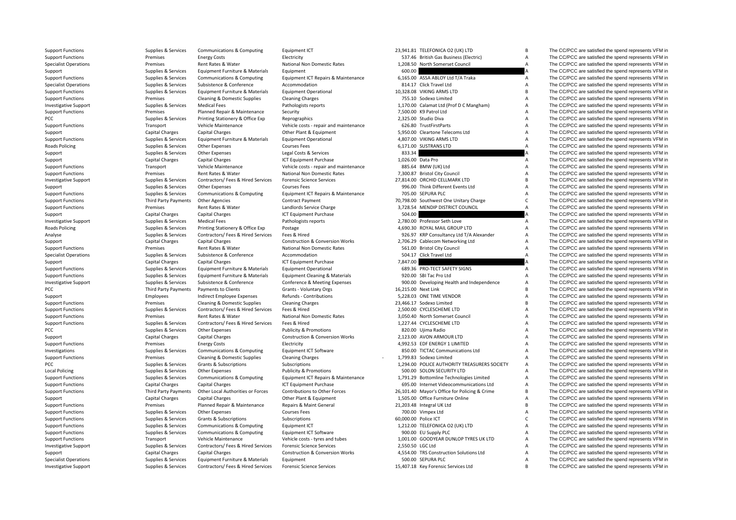| Support Functions            | supplies & services         | Communications & Computing            | Equipment                                  | 23,941.81 TELEFONICA OZ (UK) LTD              |                | The CC/PCC are satisfied the spend represents VFM in |
|------------------------------|-----------------------------|---------------------------------------|--------------------------------------------|-----------------------------------------------|----------------|------------------------------------------------------|
| <b>Support Functions</b>     | Premises                    | <b>Energy Costs</b>                   | Electricity                                | 537.46 British Gas Business (Electric)        | А              | The CC/PCC are satisfied the spend represents VFM in |
| <b>Specialist Operations</b> | Premises                    | Rent Rates & Water                    | National Non Domestic Rates                | 1,208.50 North Somerset Council               | $\overline{A}$ | The CC/PCC are satisfied the spend represents VFM in |
| Support                      | Supplies & Services         | Equipment Furniture & Materials       | Equipment                                  | 600.00                                        |                | The CC/PCC are satisfied the spend represents VFM in |
| <b>Support Functions</b>     | Supplies & Services         | <b>Communications &amp; Computing</b> | Equipment ICT Repairs & Maintenance        | 6,165.00 ASSA ABLOY Ltd T/A Traka             | A              | The CC/PCC are satisfied the spend represents VFM in |
| <b>Specialist Operations</b> | Supplies & Services         | Subsistence & Conference              | Accommodation                              | 814.17 Click Travel Ltd                       | $\mathsf A$    | The CC/PCC are satisfied the spend represents VFM in |
| <b>Support Functions</b>     | Supplies & Services         | Equipment Furniture & Materials       | <b>Equipment Operational</b>               | 10,328.08 VIKING ARMS LTD                     | B              | The CC/PCC are satisfied the spend represents VFM in |
| <b>Support Functions</b>     | Premises                    | Cleaning & Domestic Supplies          | <b>Cleaning Charges</b>                    | 755.10 Sodexo Limited                         | A              | The CC/PCC are satisfied the spend represents VFM in |
| <b>Investigative Support</b> | Supplies & Services         | <b>Medical Fees</b>                   | Pathologists reports                       | 1,170.00 Calamat Ltd (Prof D C Mangham)       | Α              | The CC/PCC are satisfied the spend represents VFM in |
| <b>Support Functions</b>     | Premises                    | Planned Repair & Maintenance          | Security                                   | 7,500.00 K9 Patrol Ltd                        | $\overline{A}$ | The CC/PCC are satisfied the spend represents VFM in |
| PCC                          | Supplies & Services         | Printing Stationery & Office Exp      | Reprographics                              | 2,325.00 Studio Diva                          | Α              | The CC/PCC are satisfied the spend represents VFM in |
| <b>Support Functions</b>     | Transport                   | Vehicle Maintenance                   | Vehicle costs - repair and maintenance     | 626.80 TrustFirstParts                        | A              | The CC/PCC are satisfied the spend represents VFM in |
| Support                      | Capital Charges             | Capital Charges                       | Other Plant & Equipment                    | 5,950.00 Cleartone Telecoms Ltd               | $\overline{A}$ | The CC/PCC are satisfied the spend represents VFM in |
| <b>Support Functions</b>     | Supplies & Services         | Equipment Furniture & Materials       | <b>Equipment Operational</b>               | 4,807.00 VIKING ARMS LTD                      | A              | The CC/PCC are satisfied the spend represents VFM in |
|                              |                             |                                       |                                            | 6,171.00 SUSTRANS LTD                         | $\overline{A}$ |                                                      |
| Roads Policing               | Supplies & Services         | <b>Other Expenses</b>                 | <b>Courses Fees</b>                        |                                               |                | The CC/PCC are satisfied the spend represents VFM in |
| Support                      | Supplies & Services         | Other Expenses                        | Legal Costs & Services                     | 833.34                                        |                | The CC/PCC are satisfied the spend represents VFM in |
| Support                      | Capital Charges             | Capital Charges                       | ICT Equipment Purchase                     | 1,026.00 Data Pro                             | А              | The CC/PCC are satisfied the spend represents VFM in |
| <b>Support Functions</b>     | Transport                   | Vehicle Maintenance                   | Vehicle costs - repair and maintenance     | 885.64 BMW (UK) Ltd                           | A              | The CC/PCC are satisfied the spend represents VFM in |
| <b>Support Functions</b>     | Premises                    | Rent Rates & Water                    | National Non Domestic Rates                | 7,300.87 Bristol City Council                 | Α              | The CC/PCC are satisfied the spend represents VFM in |
| <b>Investigative Support</b> | Supplies & Services         | Contractors/ Fees & Hired Services    | <b>Forensic Science Services</b>           | 27,814.00 ORCHID CELLMARK LTD                 | B              | The CC/PCC are satisfied the spend represents VFM in |
| Support                      | Supplies & Services         | Other Expenses                        | <b>Courses Fees</b>                        | 996.00 Think Different Events Ltd             | А              | The CC/PCC are satisfied the spend represents VFM in |
| <b>Support Functions</b>     | Supplies & Services         | <b>Communications &amp; Computing</b> | Equipment ICT Repairs & Maintenance        | 705.00 SEPURA PLC                             | A              | The CC/PCC are satisfied the spend represents VFM in |
| <b>Support Functions</b>     | <b>Third Party Payments</b> | <b>Other Agencies</b>                 | <b>Contract Payment</b>                    | 70,798.00 Southwest One Unitary Charge        | $\mathsf{C}$   | The CC/PCC are satisfied the spend represents VFM in |
| <b>Support Functions</b>     | Premises                    | Rent Rates & Water                    | Landlords Service Charge                   | 3,728.54 MENDIP DISTRICT COUNCIL              | $\overline{A}$ | The CC/PCC are satisfied the spend represents VFM in |
| Support                      | Capital Charges             | Capital Charges                       | ICT Equipment Purchase                     | 504.00                                        |                | The CC/PCC are satisfied the spend represents VFM in |
| <b>Investigative Support</b> | Supplies & Services         | <b>Medical Fees</b>                   | Pathologists reports                       | 2,780.00 Professor Seth Love                  | Α              | The CC/PCC are satisfied the spend represents VFM in |
| Roads Policing               | Supplies & Services         | Printing Stationery & Office Exp      | Postage                                    | 4,690.30 ROYAL MAIL GROUP LTD                 | A              | The CC/PCC are satisfied the spend represents VFM in |
| Analyse                      | Supplies & Services         | Contractors/ Fees & Hired Services    | Fees & Hired                               | 926.97 KRP Consultancy Ltd T/A Alexander      | A              | The CC/PCC are satisfied the spend represents VFM in |
| Support                      | Capital Charges             | Capital Charges                       | <b>Construction &amp; Conversion Works</b> | 2,706.29 Cablecom Networking Ltd              | A              | The CC/PCC are satisfied the spend represents VFM in |
| <b>Support Functions</b>     | Premises                    | Rent Rates & Water                    | National Non Domestic Rates                | 561.00 Bristol City Council                   | A              | The CC/PCC are satisfied the spend represents VFM in |
| <b>Specialist Operations</b> | Supplies & Services         | Subsistence & Conference              | Accommodation                              | 504.17 Click Travel Ltd                       | $\overline{A}$ | The CC/PCC are satisfied the spend represents VFM in |
| Support                      | Capital Charges             | Capital Charges                       | ICT Equipment Purchase                     | 7,847.00                                      |                | The CC/PCC are satisfied the spend represents VFM in |
|                              |                             |                                       |                                            | 689.36 PRO-TECT SAFETY SIGNS                  |                | The CC/PCC are satisfied the spend represents VFM in |
| <b>Support Functions</b>     | Supplies & Services         | Equipment Furniture & Materials       | <b>Equipment Operational</b>               |                                               | A              |                                                      |
| <b>Support Functions</b>     | Supplies & Services         | Equipment Furniture & Materials       | <b>Equipment Cleaning &amp; Materials</b>  | 920.00 SBI Tac Pro Ltd                        | Α              | The CC/PCC are satisfied the spend represents VFM in |
| <b>Investigative Support</b> | Supplies & Services         | Subsistence & Conference              | Conference & Meeting Expenses              | 900.00 Developing Health and Independence     | Α              | The CC/PCC are satisfied the spend represents VFM in |
| PCC                          | <b>Third Party Payments</b> | Payments to Clients                   | Grants - Voluntary Orgs                    | 16,215.00 Next Link                           | B              | The CC/PCC are satisfied the spend represents VFM in |
| Support                      | Employees                   | Indirect Employee Expenses            | Refunds - Contributions                    | 5,228.03 ONE TIME VENDOR                      | Α              | The CC/PCC are satisfied the spend represents VFM in |
| <b>Support Functions</b>     | Premises                    | Cleaning & Domestic Supplies          | <b>Cleaning Charges</b>                    | 23,466.17 Sodexo Limited                      | B              | The CC/PCC are satisfied the spend represents VFM in |
| <b>Support Functions</b>     | Supplies & Services         | Contractors/ Fees & Hired Services    | Fees & Hired                               | 2,500.00 CYCLESCHEME LTD                      | A              | The CC/PCC are satisfied the spend represents VFM in |
| <b>Support Functions</b>     | Premises                    | Rent Rates & Water                    | National Non Domestic Rates                | 3.050.40 North Somerset Council               | A              | The CC/PCC are satisfied the spend represents VFM in |
| <b>Support Functions</b>     | Supplies & Services         | Contractors/ Fees & Hired Services    | Fees & Hired                               | 1,227.44 CYCLESCHEME LTD                      | $\overline{A}$ | The CC/PCC are satisfied the spend represents VFM in |
| PCC                          | Supplies & Services         | Other Expenses                        | <b>Publicity &amp; Promotions</b>          | 820.00 Ujima Radio                            | A              | The CC/PCC are satisfied the spend represents VFM in |
| Support                      | Capital Charges             | Capital Charges                       | <b>Construction &amp; Conversion Works</b> | 2,123.00 AVON ARMOUR LTD                      | $\overline{A}$ | The CC/PCC are satisfied the spend represents VFM in |
| <b>Support Functions</b>     | Premises                    | <b>Energy Costs</b>                   | Electricity                                | 4,992.53 EDF ENERGY 1 LIMITED                 | A              | The CC/PCC are satisfied the spend represents VFM in |
| Investigations               | Supplies & Services         | Communications & Computing            | Equipment ICT Software                     | 850.00 TICTAC Communications Ltd              | А              | The CC/PCC are satisfied the spend represents VFM in |
| <b>Support Functions</b>     | Premises                    | Cleaning & Domestic Supplies          | <b>Cleaning Charges</b>                    | 1,799.83 Sodexo Limited                       | Α              | The CC/PCC are satisfied the spend represents VFM in |
| PCC                          | Supplies & Services         | Grants & Subscriptions                | Subscriptions                              | 1,294.00 POLICE AUTHORITY TREASURERS SOCIETY  | А              | The CC/PCC are satisfied the spend represents VFM in |
| <b>Local Policing</b>        | Supplies & Services         | Other Expenses                        | <b>Publicity &amp; Promotions</b>          | 500.00 SOLON SECURITY LTD                     | A              | The CC/PCC are satisfied the spend represents VFM in |
| <b>Support Functions</b>     | Supplies & Services         | <b>Communications &amp; Computing</b> | Equipment ICT Repairs & Maintenance        | 1,791.29 Bottomline Technologies Limited      | А              | The CC/PCC are satisfied the spend represents VFM in |
| <b>Support Functions</b>     | Capital Charges             | Capital Charges                       | ICT Equipment Purchase                     | 695.00 Internet Videocommunications Ltd       | А              | The CC/PCC are satisfied the spend represents VFM in |
| <b>Support Functions</b>     | <b>Third Party Payments</b> | Other Local Authorities or Forces     | Contributions to Other Forces              | 26,101.40 Mayor's Office for Policing & Crime | B              | The CC/PCC are satisfied the spend represents VFM in |
|                              | Capital Charges             | Capital Charges                       | Other Plant & Equipment                    | 1,505.00 Office Furniture Online              | А              | The CC/PCC are satisfied the spend represents VFM in |
| Support                      |                             |                                       |                                            |                                               | B              |                                                      |
| <b>Support Functions</b>     | Premises                    | Planned Repair & Maintenance          | Repairs & Maint General                    | 21,203.48 Integral UK Ltd                     |                | The CC/PCC are satisfied the spend represents VFM in |
| <b>Support Functions</b>     | Supplies & Services         | Other Expenses                        | <b>Courses Fees</b>                        | 700.00 Vimpex Ltd                             | A              | The CC/PCC are satisfied the spend represents VFM in |
| <b>Support Functions</b>     | Supplies & Services         | Grants & Subscriptions                | Subscriptions                              | 60,000.00 Police ICT                          | $\mathsf{C}$   | The CC/PCC are satisfied the spend represents VFM in |
| <b>Support Functions</b>     | Supplies & Services         | <b>Communications &amp; Computing</b> | Equipment ICT                              | 1,212.00 TELEFONICA O2 (UK) LTD               | A              | The CC/PCC are satisfied the spend represents VFM in |
| <b>Support Functions</b>     | Supplies & Services         | <b>Communications &amp; Computing</b> | Equipment ICT Software                     | 900.00 EU Supply PLC                          | A              | The CC/PCC are satisfied the spend represents VFM in |
| <b>Support Functions</b>     | Transport                   | Vehicle Maintenance                   | Vehicle costs - tyres and tubes            | 1,001.00 GOODYEAR DUNLOP TYRES UK LTD         | $\overline{A}$ | The CC/PCC are satisfied the spend represents VFM in |
| <b>Investigative Support</b> | Supplies & Services         | Contractors/ Fees & Hired Services    | <b>Forensic Science Services</b>           | 2.550.50 LGC Ltd                              | Α              | The CC/PCC are satisfied the spend represents VFM in |
| Support                      | Capital Charges             | Capital Charges                       | <b>Construction &amp; Conversion Works</b> | 4,554.00 TRS Construction Solutions Ltd       | Α              | The CC/PCC are satisfied the spend represents VFM in |
| <b>Specialist Operations</b> | Supplies & Services         | Equipment Furniture & Materials       | Equipment                                  | 500.00 SEPURA PLC                             | $\overline{A}$ | The CC/PCC are satisfied the spend represents VFM in |
|                              |                             |                                       |                                            |                                               |                |                                                      |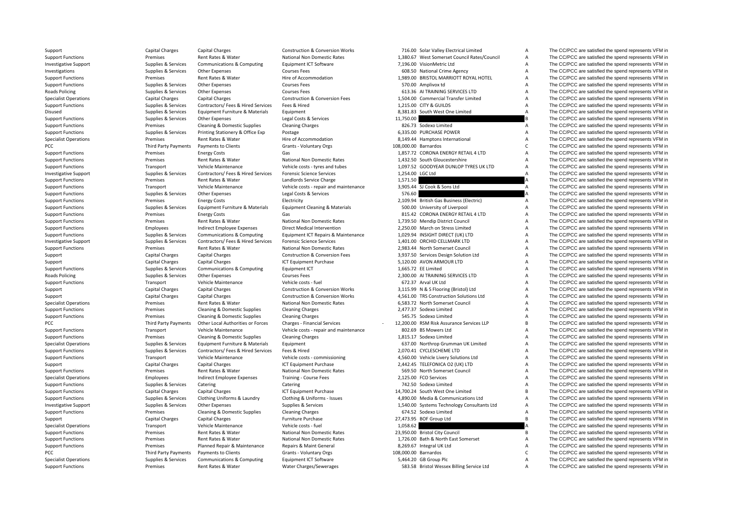| Support                      | Capital Charges             | Capital Charges                       | <b>Construction &amp; Conversion Works</b> | 716.00 Solar Valley Electrical Limited       | A              | The CC/PCC are satisfied the spend represents VFM in |
|------------------------------|-----------------------------|---------------------------------------|--------------------------------------------|----------------------------------------------|----------------|------------------------------------------------------|
| <b>Support Functions</b>     | Premises                    | Rent Rates & Water                    | National Non Domestic Rates                | 1,380.67 West Somerset Council Rates/Council | Α              | The CC/PCC are satisfied the spend represents VFM in |
| <b>Investigative Support</b> | Supplies & Services         | <b>Communications &amp; Computing</b> | <b>Equipment ICT Software</b>              | 7.196.00 VisionMetric Ltd                    | A              | The CC/PCC are satisfied the spend represents VFM in |
| Investigations               | Supplies & Services         | Other Expenses                        | <b>Courses Fees</b>                        | 608.50 National Crime Agency                 | Α              | The CC/PCC are satisfied the spend represents VFM in |
| <b>Support Functions</b>     | Premises                    | Rent Rates & Water                    | Hire of Accommodation                      | 1,989.00 BRISTOL MARRIOTT ROYAL HOTEL        | A              | The CC/PCC are satisfied the spend represents VFM in |
| <b>Support Functions</b>     | Supplies & Services         | Other Expenses                        | <b>Courses Fees</b>                        | 570.00 Amplivox td                           | A              | The CC/PCC are satisfied the spend represents VFM in |
| Roads Policing               | Supplies & Services         | Other Expenses                        | <b>Courses Fees</b>                        | 613.36 AI TRAINING SERVICES LTD              | A              | The CC/PCC are satisfied the spend represents VFM in |
| <b>Specialist Operations</b> | Capital Charges             | <b>Capital Charges</b>                | <b>Construction &amp; Conversion Fees</b>  | 1,504.00 Commercial Transfer Limited         | A              | The CC/PCC are satisfied the spend represents VFM in |
| <b>Support Functions</b>     | Supplies & Services         | Contractors/ Fees & Hired Services    | Fees & Hired                               | 1.215.00 CITY & GUILDS                       | A              | The CC/PCC are satisfied the spend represents VFM in |
|                              |                             |                                       |                                            |                                              | $\overline{A}$ |                                                      |
| <b>Disused</b>               | Supplies & Services         | Equipment Furniture & Materials       | Equipment                                  | 8,381.83 South West One Limited              |                | The CC/PCC are satisfied the spend represents VFM in |
| <b>Support Functions</b>     | Supplies & Services         | Other Expenses                        | Legal Costs & Services                     | 11,750.00                                    |                | The CC/PCC are satisfied the spend represents VFM in |
| <b>Support Functions</b>     | Premises                    | Cleaning & Domestic Supplies          | <b>Cleaning Charges</b>                    | 826.73 Sodexo Limited                        | A              | The CC/PCC are satisfied the spend represents VFM in |
| <b>Support Functions</b>     | Supplies & Services         | Printing Stationery & Office Exp      | Postage                                    | 6,335.00 PURCHASE POWER                      | $\overline{A}$ | The CC/PCC are satisfied the spend represents VFM in |
| <b>Specialist Operations</b> | Premises                    | Rent Rates & Water                    | Hire of Accommodation                      | 8,149.44 Hamptons International              | $\overline{A}$ | The CC/PCC are satisfied the spend represents VFM in |
| PCC                          | <b>Third Party Payments</b> | Payments to Clients                   | Grants - Voluntary Orgs                    | 108,000.00 Barnardos                         | $\mathsf{C}$   | The CC/PCC are satisfied the spend represents VFM in |
| <b>Support Functions</b>     | Premises                    | <b>Energy Costs</b>                   | Gas                                        | 1,857.72 CORONA ENERGY RETAIL 4 LTD          | $\overline{A}$ | The CC/PCC are satisfied the spend represents VFM in |
| <b>Support Functions</b>     | Premises                    | Rent Rates & Water                    | National Non Domestic Rates                | 1,432.50 South Gloucestershire               | $\overline{A}$ | The CC/PCC are satisfied the spend represents VFM in |
| <b>Support Functions</b>     | Transport                   | Vehicle Maintenance                   | Vehicle costs - tyres and tubes            | 1,097.52 GOODYEAR DUNLOP TYRES UK LTD        | A              | The CC/PCC are satisfied the spend represents VFM in |
| <b>Investigative Support</b> | Supplies & Services         | Contractors/ Fees & Hired Services    | <b>Forensic Science Services</b>           | 1,254.00 LGC Ltd                             | $\overline{A}$ | The CC/PCC are satisfied the spend represents VFM in |
| <b>Support Functions</b>     | Premises                    | Rent Rates & Water                    | Landlords Service Charge                   | 1,571.50                                     |                | The CC/PCC are satisfied the spend represents VFM in |
| <b>Support Functions</b>     | Transport                   | Vehicle Maintenance                   | Vehicle costs - repair and maintenance     | 3,905.44 SJ Cook & Sons Ltd                  | Α              | The CC/PCC are satisfied the spend represents VFM in |
| <b>Support Functions</b>     | Supplies & Services         | <b>Other Expenses</b>                 | Legal Costs & Services                     | 576.60                                       |                | The CC/PCC are satisfied the spend represents VFM in |
| <b>Support Functions</b>     |                             |                                       |                                            |                                              |                | The CC/PCC are satisfied the spend represents VFM in |
|                              | Premises                    | <b>Energy Costs</b>                   | Electricity                                | 2,109.94 British Gas Business (Electric)     | A              |                                                      |
| <b>Support Functions</b>     | Supplies & Services         | Equipment Furniture & Materials       | <b>Equipment Cleaning &amp; Materials</b>  | 500.00 University of Liverpool               | A              | The CC/PCC are satisfied the spend represents VFM in |
| <b>Support Functions</b>     | Premises                    | <b>Energy Costs</b>                   | Gas                                        | 815.42 CORONA ENERGY RETAIL 4 LTD            | A              | The CC/PCC are satisfied the spend represents VFM in |
| <b>Support Functions</b>     | Premises                    | Rent Rates & Water                    | National Non Domestic Rates                | 1,739.50 Mendip District Council             | A              | The CC/PCC are satisfied the spend represents VFM in |
| <b>Support Functions</b>     | Employees                   | Indirect Employee Expenses            | Direct Medical Intervention                | 2,250.00 March on Stress Limited             | $\overline{A}$ | The CC/PCC are satisfied the spend represents VFM in |
| <b>Support Functions</b>     | Supplies & Services         | <b>Communications &amp; Computing</b> | Equipment ICT Repairs & Maintenance        | 1,029.94 INSIGHT DIRECT (UK) LTD             | $\overline{A}$ | The CC/PCC are satisfied the spend represents VFM in |
| <b>Investigative Support</b> | Supplies & Services         | Contractors/Fees & Hired Services     | <b>Forensic Science Services</b>           | 1,401.00 ORCHID CELLMARK LTD                 | A              | The CC/PCC are satisfied the spend represents VFM in |
| <b>Support Functions</b>     | Premises                    | Rent Rates & Water                    | National Non Domestic Rates                | 2,983.44 North Somerset Council              | A              | The CC/PCC are satisfied the spend represents VFM in |
| Support                      | Capital Charges             | Capital Charges                       | Construction & Conversion Fees             | 3,937.50 Services Design Solution Ltd        | A              | The CC/PCC are satisfied the spend represents VFM in |
| Support                      | Capital Charges             | Capital Charges                       | ICT Equipment Purchase                     | 5,120.00 AVON ARMOUR LTD                     | Α              | The CC/PCC are satisfied the spend represents VFM in |
| <b>Support Functions</b>     | Supplies & Services         | Communications & Computing            | Equipment ICT                              | 1,665.72 EE Limited                          | Α              | The CC/PCC are satisfied the spend represents VFM in |
| <b>Roads Policing</b>        | Supplies & Services         | Other Expenses                        | <b>Courses Fees</b>                        | 2,300.00 AI TRAINING SERVICES LTD            | A              | The CC/PCC are satisfied the spend represents VFM in |
| <b>Support Functions</b>     | Transport                   | Vehicle Maintenance                   | Vehicle costs - fuel                       | 672.37 Arval UK Ltd                          | $\overline{A}$ | The CC/PCC are satisfied the spend represents VFM in |
| Support                      | Capital Charges             | <b>Capital Charges</b>                | <b>Construction &amp; Conversion Works</b> | 3,115.99 N & S Flooring (Bristol) Ltd        | Α              | The CC/PCC are satisfied the spend represents VFM in |
|                              | <b>Capital Charges</b>      | Capital Charges                       | <b>Construction &amp; Conversion Works</b> | 4,561.00 TRS Construction Solutions Ltd      | $\overline{A}$ | The CC/PCC are satisfied the spend represents VFM in |
| Support                      |                             |                                       |                                            |                                              |                |                                                      |
| <b>Specialist Operations</b> | Premises                    | Rent Rates & Water                    | National Non Domestic Rates                | 6,583.72 North Somerset Council              | A              | The CC/PCC are satisfied the spend represents VFM in |
| <b>Support Functions</b>     | Premises                    | Cleaning & Domestic Supplies          | <b>Cleaning Charges</b>                    | 2,477.37 Sodexo Limited                      | $\overline{A}$ | The CC/PCC are satisfied the spend represents VFM in |
| <b>Support Functions</b>     | Premises                    | Cleaning & Domestic Supplies          | <b>Cleaning Charges</b>                    | 545.75 Sodexo Limited                        | $\overline{A}$ | The CC/PCC are satisfied the spend represents VFM in |
| PCC                          | <b>Third Party Payments</b> | Other Local Authorities or Forces     | Charges - Financial Services               | 12,200.00 RSM Risk Assurance Services LLP    | B              | The CC/PCC are satisfied the spend represents VFM in |
| <b>Support Functions</b>     | Transport                   | Vehicle Maintenance                   | Vehicle costs - repair and maintenance     | 802.69 BS Mowers Ltd                         | A              | The CC/PCC are satisfied the spend represents VFM in |
| <b>Support Functions</b>     | Premises                    | Cleaning & Domestic Supplies          | <b>Cleaning Charges</b>                    | 1,815.17 Sodexo Limited                      | A              | The CC/PCC are satisfied the spend represents VFM in |
| <b>Specialist Operations</b> | Supplies & Services         | Equipment Furniture & Materials       | Equipment                                  | 637.00 Northrop Grumman UK Limited           | $\overline{A}$ | The CC/PCC are satisfied the spend represents VFM in |
| <b>Support Functions</b>     | Supplies & Services         | Contractors/ Fees & Hired Services    | Fees & Hired                               | 2,070.41 CYCLESCHEME LTD                     | Α              | The CC/PCC are satisfied the spend represents VFM in |
| <b>Support Functions</b>     | Transport                   | Vehicle Maintenance                   | Vehicle costs - commissioning              | 4,560.00 Vehicle Livery Solutions Ltd        | Α              | The CC/PCC are satisfied the spend represents VFM in |
| Support                      | Capital Charges             | Capital Charges                       | ICT Equipment Purchase                     | 2,442.45 TELEFONICA O2 (UK) LTD              | Α              | The CC/PCC are satisfied the spend represents VFM in |
| <b>Support Functions</b>     | Premises                    | Rent Rates & Water                    | National Non Domestic Rates                | 569.50 North Somerset Council                | $\overline{A}$ | The CC/PCC are satisfied the spend represents VFM in |
| <b>Specialist Operations</b> | Employees                   | Indirect Employee Expenses            | Training - Course Fees                     | 2.125.00 FCO Services                        | A              | The CC/PCC are satisfied the spend represents VFM in |
| <b>Support Functions</b>     | Supplies & Services         | Catering                              | Catering                                   | 742.50 Sodexo Limited                        | $\overline{A}$ | The CC/PCC are satisfied the spend represents VFM in |
| <b>Support Functions</b>     | Capital Charges             | Capital Charges                       | ICT Equipment Purchase                     | 14,700.24 South West One Limited             | B              | The CC/PCC are satisfied the spend represents VFM in |
| <b>Support Functions</b>     | Supplies & Services         | Clothing Uniforms & Laundry           | Clothing & Uniforms - Issues               | 4,890.00 Media & Communications Ltd          | A              | The CC/PCC are satisfied the spend represents VFM in |
|                              |                             | <b>Other Expenses</b>                 |                                            |                                              | A              | The CC/PCC are satisfied the spend represents VFM in |
| <b>Investigative Support</b> | Supplies & Services         |                                       | Supplies & Services                        | 1,540.00 Systems Technology Consultants Ltd  | A              |                                                      |
| <b>Support Functions</b>     | Premises                    | Cleaning & Domestic Supplies          | <b>Cleaning Charges</b>                    | 674.52 Sodexo Limited                        | R.             | The CC/PCC are satisfied the spend represents VFM in |
| Support                      | Capital Charges             | <b>Capital Charges</b>                | Furniture Purchase                         | 27,473.95 BOF Group Ltd                      |                | The CC/PCC are satisfied the spend represents VFM in |
| <b>Specialist Operations</b> | Transport                   | Vehicle Maintenance                   | Vehicle costs - fuel                       | 1,058.62                                     |                | The CC/PCC are satisfied the spend represents VFM in |
| <b>Support Functions</b>     | Premises                    | Rent Rates & Water                    | National Non Domestic Rates                | 23,950.00 Bristol City Council               | B              | The CC/PCC are satisfied the spend represents VFM in |
| <b>Support Functions</b>     | Premises                    | Rent Rates & Water                    | National Non Domestic Rates                | 1,726.00 Bath & North East Somerset          | А              | The CC/PCC are satisfied the spend represents VFM in |
| <b>Support Functions</b>     | Premises                    | Planned Repair & Maintenance          | Repairs & Maint General                    | 8,269.67 Integral UK Ltd                     | A              | The CC/PCC are satisfied the spend represents VFM in |
| PCC                          | <b>Third Party Payments</b> | Payments to Clients                   | Grants - Voluntary Orgs                    | 108,000.00 Barnardos                         | $\mathsf{C}$   | The CC/PCC are satisfied the spend represents VFM in |
| <b>Specialist Operations</b> | Supplies & Services         | <b>Communications &amp; Computing</b> | Equipment ICT Software                     | 5,464.20 GB Group Plc                        | A              | The CC/PCC are satisfied the spend represents VFM in |
|                              |                             |                                       |                                            |                                              |                |                                                      |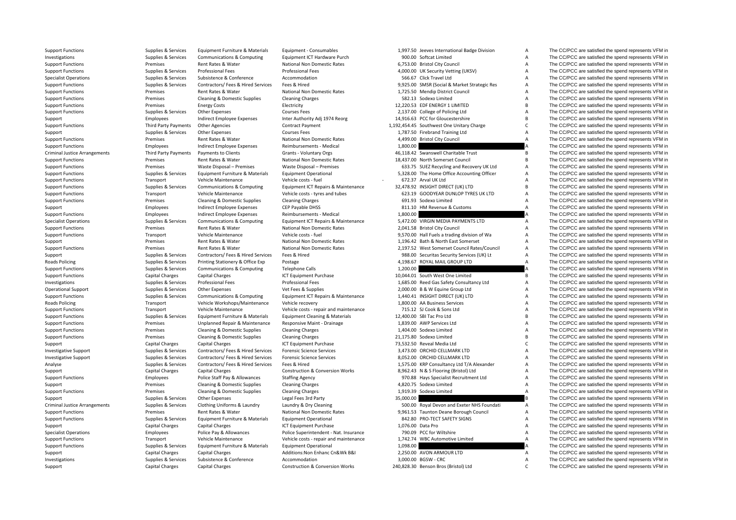| <b>Support Functions</b>             | Supplies & Services             | Equipment Furniture & Materials       | Equipment - Consumables                            | 1,997.50 Jeeves International Badge Division | Α              | The CC/PCC are satisfied the spend represents VFM in |
|--------------------------------------|---------------------------------|---------------------------------------|----------------------------------------------------|----------------------------------------------|----------------|------------------------------------------------------|
| Investigations                       | Supplies & Services             | <b>Communications &amp; Computing</b> | Equipment ICT Hardware Purch                       | 900.00 Softcat Limited                       | A              | The CC/PCC are satisfied the spend represents VFM in |
| <b>Support Functions</b>             | Premises                        | Rent Rates & Water                    | National Non Domestic Rates                        | 6,753.00 Bristol City Council                | $\overline{A}$ | The CC/PCC are satisfied the spend represents VFM in |
| <b>Support Functions</b>             | Supplies & Services             | <b>Professional Fees</b>              | <b>Professional Fees</b>                           | 4,000.00 UK Security Vetting (UKSV)          | А              | The CC/PCC are satisfied the spend represents VFM in |
| <b>Specialist Operations</b>         | Supplies & Services             | Subsistence & Conference              | Accommodation                                      | 566.67 Click Travel Ltd                      | $\overline{A}$ | The CC/PCC are satisfied the spend represents VFM in |
| <b>Support Functions</b>             | Supplies & Services             | Contractors/ Fees & Hired Services    | Fees & Hired                                       | 9,925.00 SMSR (Social & Market Strategic Res | A              | The CC/PCC are satisfied the spend represents VFM in |
| <b>Support Functions</b>             | Premises                        | Rent Rates & Water                    | National Non Domestic Rates                        | 1,725.50 Mendip District Council             | $\overline{A}$ | The CC/PCC are satisfied the spend represents VFM in |
| <b>Support Functions</b>             | Premises                        | Cleaning & Domestic Supplies          | <b>Cleaning Charges</b>                            | 582.13 Sodexo Limited                        | $\overline{A}$ | The CC/PCC are satisfied the spend represents VFM in |
| <b>Support Functions</b>             | Premises                        | <b>Energy Costs</b>                   | Electricity                                        | 12,220.53 EDF ENERGY 1 LIMITED               | $\overline{B}$ | The CC/PCC are satisfied the spend represents VFM in |
| <b>Support Functions</b>             | Supplies & Services             | Other Expenses                        | <b>Courses Fees</b>                                | 2,137.00 College of Policing Ltd             | А              | The CC/PCC are satisfied the spend represents VFM in |
| Support                              | Employees                       | Indirect Employee Expenses            | Inter Authority Adj 1974 Reorg                     | 14,916.63 PCC for Gloucestershire            | B              | The CC/PCC are satisfied the spend represents VFM in |
|                                      | Third Party Payments            | Other Agencies                        | <b>Contract Payment</b>                            | 1,192,454.45 Southwest One Unitary Charge    | C              | The CC/PCC are satisfied the spend represents VFM in |
| <b>Support Functions</b>             |                                 | <b>Other Expenses</b>                 |                                                    | 1,787.50 Firebrand Training Ltd              | A              | The CC/PCC are satisfied the spend represents VFM in |
| Support<br><b>Support Functions</b>  | Supplies & Services<br>Premises | Rent Rates & Water                    | <b>Courses Fees</b><br>National Non Domestic Rates | 4,499.00 Bristol City Council                | $\overline{A}$ | The CC/PCC are satisfied the spend represents VFM in |
|                                      |                                 |                                       |                                                    |                                              |                |                                                      |
| <b>Support Functions</b>             | Employees                       | Indirect Employee Expenses            | Reimbursements - Medical                           | 1,800.00                                     |                | The CC/PCC are satisfied the spend represents VFM in |
| <b>Criminal Justice Arrangements</b> | <b>Third Party Payments</b>     | Payments to Clients                   | Grants - Voluntary Orgs                            | 46,118.42 Swanswell Charitable Trust         | B              | The CC/PCC are satisfied the spend represents VFM in |
| <b>Support Functions</b>             | Premises                        | Rent Rates & Water                    | National Non Domestic Rates                        | 18,437.00 North Somerset Council             | $\overline{B}$ | The CC/PCC are satisfied the spend represents VFM in |
| <b>Support Functions</b>             | Premises                        | Waste Disposal - Premises             | Waste Disposal - Premises                          | 633.75 SUEZ Recycling and Recovery UK Ltd    | А              | The CC/PCC are satisfied the spend represents VFM in |
| <b>Support Functions</b>             | Supplies & Services             | Equipment Furniture & Materials       | <b>Equipment Operational</b>                       | 5,328.00 The Home Office Accounting Officer  | А              | The CC/PCC are satisfied the spend represents VFM in |
| <b>Support Functions</b>             | Transport                       | Vehicle Maintenance                   | Vehicle costs - fuel                               | 672.37 Arval UK Ltd                          | A              | The CC/PCC are satisfied the spend represents VFM in |
| <b>Support Functions</b>             | Supplies & Services             | <b>Communications &amp; Computing</b> | Equipment ICT Repairs & Maintenance                | 32,478.92 INSIGHT DIRECT (UK) LTD            | B              | The CC/PCC are satisfied the spend represents VFM in |
| <b>Support Functions</b>             | Transport                       | Vehicle Maintenance                   | Vehicle costs - tyres and tubes                    | 623.19 GOODYEAR DUNLOP TYRES UK LTD          | $\overline{A}$ | The CC/PCC are satisfied the spend represents VFM in |
| <b>Support Functions</b>             | Premises                        | Cleaning & Domestic Supplies          | <b>Cleaning Charges</b>                            | 691.93 Sodexo Limited                        | $\overline{A}$ | The CC/PCC are satisfied the spend represents VFM in |
| Support                              | Employees                       | Indirect Employee Expenses            | CEP Payable DHSS                                   | 811.10 HM Revenue & Customs                  | $\overline{A}$ | The CC/PCC are satisfied the spend represents VFM in |
| <b>Support Functions</b>             | Employees                       | Indirect Employee Expenses            | Reimbursements - Medical                           | 1,800.00                                     |                | The CC/PCC are satisfied the spend represents VFM in |
| <b>Specialist Operations</b>         | Supplies & Services             | Communications & Computing            | Equipment ICT Repairs & Maintenance                | 5,472.00 VIRGIN MEDIA PAYMENTS LTD           | A              | The CC/PCC are satisfied the spend represents VFM in |
| <b>Support Functions</b>             | Premises                        | Rent Rates & Water                    | National Non Domestic Rates                        | 2,041.58 Bristol City Council                | Α              | The CC/PCC are satisfied the spend represents VFM in |
| <b>Support Functions</b>             | Transport                       | Vehicle Maintenance                   | Vehicle costs - fuel                               | 9,570.00 Hall Fuels a trading division of Wa | A              | The CC/PCC are satisfied the spend represents VFM in |
| Support                              | Premises                        | Rent Rates & Water                    | <b>National Non Domestic Rates</b>                 | 1.196.42 Bath & North East Somerset          | Α              | The CC/PCC are satisfied the spend represents VFM in |
| <b>Support Functions</b>             | Premises                        | Rent Rates & Water                    | National Non Domestic Rates                        | 2,197.52 West Somerset Council Rates/Council | Α              | The CC/PCC are satisfied the spend represents VFM in |
| Support                              | Supplies & Services             | Contractors/ Fees & Hired Services    | Fees & Hired                                       | 988.00 Securitas Security Services (UK) Lt   | A              | The CC/PCC are satisfied the spend represents VFM in |
| Roads Policing                       | Supplies & Services             | Printing Stationery & Office Exp      | Postage                                            | 4,198.67 ROYAL MAIL GROUP LTD                | $\overline{A}$ | The CC/PCC are satisfied the spend represents VFM in |
| <b>Support Functions</b>             | Supplies & Services             | <b>Communications &amp; Computing</b> | <b>Telephone Calls</b>                             | 1,200.00                                     |                | The CC/PCC are satisfied the spend represents VFM in |
| <b>Support Functions</b>             | Capital Charges                 | Capital Charges                       | ICT Equipment Purchase                             | 10,044.01 South West One Limited             | В              | The CC/PCC are satisfied the spend represents VFM in |
| Investigations                       | Supplies & Services             | <b>Professional Fees</b>              | <b>Professional Fees</b>                           | 1,685.00 Reed Gas Safety Consultancy Ltd     | $\overline{A}$ | The CC/PCC are satisfied the spend represents VFM in |
| <b>Operational Support</b>           | Supplies & Services             | <b>Other Expenses</b>                 | Vet Fees & Supplies                                | 2,000.00 B & W Equine Group Ltd              | A              | The CC/PCC are satisfied the spend represents VFM in |
| <b>Support Functions</b>             | Supplies & Services             | <b>Communications &amp; Computing</b> | Equipment ICT Repairs & Maintenance                | 1,440.41 INSIGHT DIRECT (UK) LTD             | A              | The CC/PCC are satisfied the spend represents VFM in |
|                                      |                                 |                                       |                                                    |                                              |                |                                                      |
| Roads Policing                       | Transport                       | Vehicle Workshops/Maintenance         | Vehicle recovery                                   | 1,800.00 AA Business Services                | А              | The CC/PCC are satisfied the spend represents VFM in |
| <b>Support Functions</b>             | Transport                       | Vehicle Maintenance                   | Vehicle costs - repair and maintenance             | 715.12 SJ Cook & Sons Ltd                    | A<br>B         | The CC/PCC are satisfied the spend represents VFM in |
| <b>Support Functions</b>             | Supplies & Services             | Equipment Furniture & Materials       | <b>Equipment Cleaning &amp; Materials</b>          | 12,400.00 SBI Tac Pro Ltd                    |                | The CC/PCC are satisfied the spend represents VFM in |
| <b>Support Functions</b>             | Premises                        | Unplanned Repair & Maintenance        | Responsive Maint - Drainage                        | 1,839.00 AWP Services Ltd                    | Α              | The CC/PCC are satisfied the spend represents VFM in |
| <b>Support Functions</b>             | Premises                        | Cleaning & Domestic Supplies          | <b>Cleaning Charges</b>                            | 1,404.00 Sodexo Limited                      | A              | The CC/PCC are satisfied the spend represents VFM in |
| <b>Support Functions</b>             | Premises                        | Cleaning & Domestic Supplies          | <b>Cleaning Charges</b>                            | 21.175.80 Sodexo Limited                     | $\overline{B}$ | The CC/PCC are satisfied the spend represents VFM in |
| Support                              | Capital Charges                 | Capital Charges                       | ICT Equipment Purchase                             | 73,532.50 Reveal Media Ltd                   | $\mathsf{C}$   | The CC/PCC are satisfied the spend represents VFM in |
| <b>Investigative Support</b>         | Supplies & Services             | Contractors/ Fees & Hired Services    | <b>Forensic Science Services</b>                   | 3,473.00 ORCHID CELLMARK LTD                 | A              | The CC/PCC are satisfied the spend represents VFM in |
| <b>Investigative Support</b>         | Supplies & Services             | Contractors/ Fees & Hired Services    | <b>Forensic Science Services</b>                   | 8,052.00 ORCHID CELLMARK LTD                 | A              | The CC/PCC are satisfied the spend represents VFM in |
| Analyse                              | Supplies & Services             | Contractors/ Fees & Hired Services    | Fees & Hired                                       | 1,575.00 KRP Consultancy Ltd T/A Alexander   | А              | The CC/PCC are satisfied the spend represents VFM in |
| Support                              | Capital Charges                 | Capital Charges                       | <b>Construction &amp; Conversion Works</b>         | 8,962.43 N & S Flooring (Bristol) Ltd        | А              | The CC/PCC are satisfied the spend represents VFM in |
| <b>Support Functions</b>             | Employees                       | Police Staff Pay & Allowances         | <b>Staffing Agency</b>                             | 970.88 Hays Specialist Recruitment Ltd       | A              | The CC/PCC are satisfied the spend represents VFM in |
| Support                              | Premises                        | Cleaning & Domestic Supplies          | <b>Cleaning Charges</b>                            | 4,820.75 Sodexo Limited                      | A              | The CC/PCC are satisfied the spend represents VFM in |
| <b>Support Functions</b>             | Premises                        | Cleaning & Domestic Supplies          | <b>Cleaning Charges</b>                            | 1,919.39 Sodexo Limited                      | $\overline{A}$ | The CC/PCC are satisfied the spend represents VFM in |
| Support                              | Supplies & Services             | Other Expenses                        | Legal Fees 3rd Party                               | 35,000.00                                    |                | The CC/PCC are satisfied the spend represents VFM in |
| <b>Criminal Justice Arrangements</b> | Supplies & Services             | Clothing Uniforms & Laundry           | Laundry & Dry Cleaning                             | 500.00 Royal Devon and Exeter NHS Foundati   | Α              | The CC/PCC are satisfied the spend represents VFM in |
| <b>Support Functions</b>             | Premises                        | Rent Rates & Water                    | National Non Domestic Rates                        | 9,961.53 Taunton Deane Borough Council       | Α              | The CC/PCC are satisfied the spend represents VFM in |
| <b>Support Functions</b>             | Supplies & Services             | Equipment Furniture & Materials       | <b>Equipment Operational</b>                       | 842.80 PRO-TECT SAFETY SIGNS                 | A              | The CC/PCC are satisfied the spend represents VFM in |
| Support                              | Capital Charges                 | Capital Charges                       | ICT Equipment Purchase                             | 1,076.00 Data Pro                            | Α              | The CC/PCC are satisfied the spend represents VFM in |
| <b>Specialist Operations</b>         | Employees                       | Police Pay & Allowances               | Police Superintendent - Nat. Insurance             | 790.09 PCC for Wiltshire                     | Α              | The CC/PCC are satisfied the spend represents VFM in |
| <b>Support Functions</b>             | Transport                       | Vehicle Maintenance                   | Vehicle costs - repair and maintenance             | 1,742.74 WBC Automotive Limited              | A              | The CC/PCC are satisfied the spend represents VFM in |
| <b>Support Functions</b>             | Supplies & Services             | Equipment Furniture & Materials       | <b>Equipment Operational</b>                       | 1,098.00                                     |                | The CC/PCC are satisfied the spend represents VFM in |
| Support                              | Capital Charges                 | Capital Charges                       | Additions: Non Enhanc Cn&Wk B&I                    | 2,250.00 AVON ARMOUR LTD                     | Α              | The CC/PCC are satisfied the spend represents VFM in |
| Investigations                       | Supplies & Services             | Subsistence & Conference              | Accommodation                                      | 3,000.00 BGSW - CRC                          | $\overline{A}$ | The CC/PCC are satisfied the spend represents VFM in |
| $C$ unnort                           | Capital Charges                 | Capital Charges                       | Construction R. Conversion Works                   | 240.020.20 Doncon Proc (Prictal) Itd.        | $\sqrt{2}$     | The CC/PCC are sotiatied the spend represents VEM in |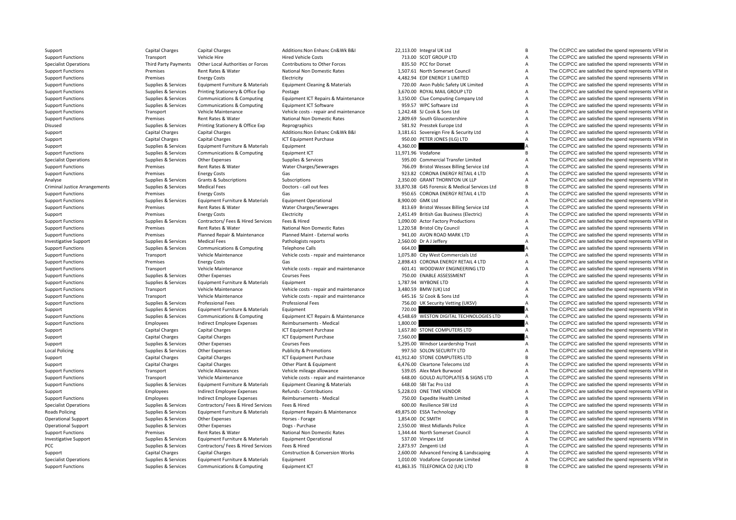Criminal Justice**Local Policing Roads Policing** 

|        | 713.00 SCOT GROUP LTD                                                      |
|--------|----------------------------------------------------------------------------|
|        | 335.50 PCC for Dorset                                                      |
|        | 607.61 North Somerset Council                                              |
|        | 182.94 EDF ENERGY 1 LIMITED                                                |
|        | 720.00 Axon Public Safety UK Limited                                       |
|        | 570.00 ROYAL MAIL GROUP LTD                                                |
|        | 150.00 Clue Computing Company Ltd                                          |
|        | 959.57 WPC Software Ltd                                                    |
|        | 242.48 SJ Cook & Sons Ltd                                                  |
|        | 309.69 South Gloucestershire                                               |
|        | 81.92 Presstek Europe Ltd                                                  |
|        | 181.61 Sovereign Fire & Security Ltd                                       |
| 950.00 | PETER JONES (ILG) LTD                                                      |
| 360.00 |                                                                            |
| 971.96 | Vodafone                                                                   |
|        | 595.00 Commercial Transfer Limited                                         |
|        | 766.09 Bristol Wessex Billing Service Ltd                                  |
|        | 323.82 CORONA ENERGY RETAIL 4 LTD                                          |
|        | 350.00 GRANT THORNTON UK LLP                                               |
|        | 370.38 G4S Forensic & Medical Services Ltd                                 |
|        | <b>950.65 CORONA ENERGY RETAIL 4 LTD</b>                                   |
|        | 00.00 GMK Ltd                                                              |
|        | 313.69 Bristol Wessex Billing Service Ltd                                  |
|        | 151.49 British Gas Business (Electric)                                     |
|        | 090.00 Actor Factory Productions                                           |
|        | 220.58 Bristol City Council                                                |
|        | 41.00 AVON ROAD MARK LTD                                                   |
|        | 60.00 Dr A J Jeffery                                                       |
| 64.00  |                                                                            |
| )75.80 | City West Commercials Ltd                                                  |
|        | 398.43 CORONA ENERGY RETAIL 4 LTD                                          |
|        | 601.41 WOODWAY ENGINEERING LTD                                             |
|        | 750.00 ENABLE ASSESSMENT                                                   |
|        | 787.94 WYBONE LTD                                                          |
|        | 180.59 BMW (UK) Ltd                                                        |
|        | 645.16 SJ Cook & Sons Ltd                                                  |
|        | 756.00 UK Security Vetting (UKSV)                                          |
| 720.00 |                                                                            |
| 548.69 |                                                                            |
|        | WESTON DIGITAL TECHNOLOGIES LTD                                            |
| 300.00 |                                                                            |
| 557.80 | <b>STONE COMPUTERS LTD</b>                                                 |
| 60.00  |                                                                            |
|        | Windsor Leardership Trust                                                  |
|        | 97.50 SOLON SECURITY LTD                                                   |
| 295.00 | 12.40 STONE COMPUTERS LTD                                                  |
|        | 176.00 Cleartone Telecoms Ltd                                              |
|        | 39.05 Alex Mark Burwood                                                    |
|        | 648.00 GOULD AUTOPLATES & SIGNS LTD                                        |
|        | 648.00 SBI Tac Pro Ltd                                                     |
|        | 228.03 ONE TIME VENDOR                                                     |
|        | 750.00 Expedite Health Limited                                             |
|        | 600.00 Resilience SW Ltd                                                   |
|        | 375.00 ESSA Technology                                                     |
|        | 354.00 DC SMITH                                                            |
|        | 550.00 West Midlands Police                                                |
|        | 344.44 North Somerset Council                                              |
|        | 37.00 Vimpex Ltd                                                           |
|        | 373.97 Zengenti Ltd                                                        |
|        | 500.00 Advanced Fencing & Landscaping<br>010.00 Vodafone Corporate Limited |

Support Capital Charges Capital Charges Capital Charges Additions:Non Enhanc Cn&Wk B&I 22,113.00 Integral UK Ltd B The CC/PCC are satisfied the spend represents VFM in Support Functions Transport Vehicle Hire Hire Hired Vehicle Costs 713.00 SCOT GROUP LTD A The CC/PCC are satisfied the spend represents VEM in Specialist Operations Third Party Payments Other Local Authorities or Forces Contributions to Other Forces 835.50 PCC for Dorset A The CC/PCC are satisfied the spend represents VFM in Support Functions Premises Rent Rates & Water National Non Domestic Rates 1,507.61 North Somerset Council A The CC/PCC are satisfied the spend represents VFM in Support Functions examples and the spend represents VFM in Electricity Electricity Electricity and the ASS 4,482.94 EDF ENERGY 1 LIMITED A The CC/PCC are satisfied the spend represents VFM in Support Functions Supplies Supplies & Services Faultoment Furniture & Materials Faultoment Cleaning & Materials 720.00 Axon Public Safety UK Limited A The CC/PCC are satisfied the spend represents VFM in Support Functions Supplies & Services Printing Stationery & Office Exp Postage Principal Principal Stationery & Office Exp Postage 3,670.00 ROYAL MAIL GROUP LTD A The CC/PCC are satisfied the spend represents VFM in Support Functions Supplies & Services Communications & Computing Equipment ICT Repairs & Maintenance 3,150.00 Clue Computing Company Ltd A The CC/PCC are satisfied the spend represents VFM in Support Functions Supplies & Services Communications & Computing Equipment ICT Software 959.57 WPC Software Ltd A The CC/PCC are satisfied the spend represents VFM in Support Functions Transport Vehicle Maintenance Vehicle costs - repair and maintenance 1,242.48 SJ Cook & Sons Ltd A The CC/PCC are satisfied the spend represents VFM in Support Functions examples of the Spend represents VFM in Premises Rent Rates Rent Rates Rent Rational Non Domestic Rates 2,809.69 South Gloucestershire A The CC/PCC are satisfied the spend represents VFM in Disused Supplies Supplies & Services Printing Stationery & Office Exp Reprographics Capacagraphics Supplies and the Supplies A The CC/PCC are satisfied the spend represents VFM in Support Support Support Capital Charges Ca Support Capital Charges Capital Charges Additions:Non Enhanc Cn&Wk B&I 3,181.61 Sovereign Fire & Security Ltd A The CC/PCC are satisfied the spend represents VFM in Support Capital Charges Capital Charges Capital Charges ICT Equipment Purchase 950.00 PETER JONES (ILG) LTD A The CC/PCC are satisfied the spend represents VFM in Support Supplies & Services Equipment Furniture & Materials Equipment 4,360.00 4,360.00 A The CC/PCC are satisfied the spend represents VFM in Support Functions Supplies & Services Communications & Computing Foutpment ICT 11.971.96 Vodafone B The CC/PCC are satisfied the spend represents VFM in Specialist Operations Supplies & Services Other Expenses Supplies & Services Supplies & Services Supplies & Services Supplies & Services Supplies & Services Supplies & Services Supplies & Services Supplies & Services Suppl Support Functions Premises Premises Rent Rates & Water Water Charges/Sewerages 766.09 Bristol Wessex Billing Service Ltd A The CC/PCC are satisfied the spend represents VFM in Support Functions Support Functions Premises Energy Costs Gas Gas States Gas 923.82 CORONA ENFRGY RETAIL 4 LTD A The CC/PCC are satisfied the spend represents VFM in Analyse Supplies & Services Grants & Subscriptions Subscriptions Subscriptions Subscriptions 2,350.00 GRANT THORNTON UK LLP A The CC/PCC are satisfied the spend represents VFM in Supplies & Services Medical Fees Doctors - call out fees 33,870.38 G4S Forensic & Medical Services Ltd B The CC/PCC are satisfied the spend represents VFM in Support Functions energy Costs Energy Costs Gas Gas Gas Service Costs Gas Service Corona ENERGY RETAIL 4 LTD A The CC/PCC are satisfied the spend represents VFM in Support Functions Supplies & Services Equipment Furniture & Materials Equipment Operational 8,900.00 GMK Ltd A The CC/PCC are satisfied the spend represents VFM in Support Functions Premises Rent Rates & Water Water Charges/Sewerages 813.69 Bristol Wessex Billing Service Ltd A The CC/PCC are satisfied the spend represents VFM in Support Premises Energy Costs Energy Costs Electricity Electricity 2,451.49 British Gas Business (Electricity A The CC/PCC are satisfied the spend represents VFM in Support Functions Supplies & Services Contractors/ Fees & Support Functions Supplies & Services Contractors/ Fees & Hired Services Fees & Hired 1,090.00 Actor Factory Productions A The CC/PCC are satisfied the spend represents VFM in Support Functions Support Functions Premises Rent Rates Rent Rates Rent Rates Alternation and the Mational Non Domestic Rates 1,220.58 Bristol City Council A The CC/PCC are satisfied the spend represents VFM in Support Fun Support Functions Premises Planned Repair & Maintenance Planned Maint ‐ External works 941.00 AVON ROAD MARK LTD A The CC/PCC are satisfied the spend represents VFM in Investigative Support Supplies & Services Medical Fees Pathologists reports Pathologists and the Support of A The CC/PCC are satisfied the spend represents VFM in Support Functions Supplies A Services Communications & Computing Telephone Calls 664.00 664.00 A The CC/PCC are satisfied the spend represents VFM in Support Functions Transport Vehicle Maintenance Vehicle costs - repair and maintenance 1,075.80 City West Commercials Ltd A The CC/PCC are satisfied the spend represents VFM in Support Functions Premises Energy Costs Costs Gas Gas 2,898.43 CORONA ENERGY RETAIL 4 LTD A The CC/PCC are satisfied the spend represents VFM in Support Functions Transport Vehicle Maintenance Vehicle costs - repair and maintenance 601.41 WOODWAY ENGINEERING LTD A The CC/PCC are satisfied the spend represents VFM in Support Functions Supplies Supplies & Services Other Expenses Courses Fees Courses Fees 750.00 ENABLE ASSESSMENT A The CC/PCC are satisfied the spend represents VFM in Support Functions Supplies & Services Equipment Furniture & Materials Equipment examples Equipment 1,787.94 WYBONE LTD A The CC/PCC are satisfied the spend represents VFM in Support Functions Transport Vehicle Maintenance Vehicle costs - repair and maintenance 3,480.59 BMW (UK) Ltd A The CC/PCC are satisfied the spend represents VFM in Support Functions Transport Vehicle Maintenance Vehicle costs - repair and maintenance 645.16 SJ Cook & Sons Ltd A The CC/PCC are satisfied the spend represents VFM in Support Functions Supplies A Services Professional Fees Professional Fees Professional Fees Professional Fees Professional Fees 200 UK Security Vetting (UKSV) A The CC/PCC are satisfied the spend represents VFM in Support Supplies & Services Equipment Furniture & Materials Equipment Furniture and Support 720.00 A The CC/PCC are satisfied the spend represents VFM in Support Functions Supplies Supplies & Services Communications & Computing Equipment ICT Repairs & Maintenance 4,548.69 WESTON DIGITAL TECHNOLOGIES LTD A The CC/PCC are satisfied the spend represents VFM in Support Function Support Functions Employees Indirect Employee Expenses Reimbursements - Medical 1,800.00 A The CC/PCC are satisfied the spend represents VFM in Support Capital Charges Capital Charges Capital Charges ICT Equipment Purchase 1,657.80 STONE COMPUTERS LTD A The CC/PCC are satisfied the spend represents VFM in Support Capital Charges Capital Charges Capital Charges ICT Equipment Purchase 7,560.00 7,560.00 A The CC/PCC are satisfied the spend represents VFM in Support Supplies & Services Other Expenses Courses Fees Courses Fees 5,295.00 Windsor Leardership Trust A The CC/PCC are satisfied the spend represents VFM in Supplies & Services Other Expenses expenditions Publicity & Promotions 997.50 SOLON SECURITY LTD A The CC/PCC are satisfied the spend represents VFM in Support Capital Charges Capital Charges Capital Charges ICT Equipment Purchase 41,912.40 STONE COMPUTERS LTD B The CC/PCC are satisfied the spend represents VFM in Support Capital Charges Capital Charges Capital Charges Other Plant & Equipment 6,476.00 Cleartone Telecoms Ltd A The CC/PCC are satisfied the spend represents VFM in Support Functions Transport Vehicle Allowances Vehicle mileage allowance S39.05 Alex Mark Burwood A The CC/PCC are satisfied the spend represents VFM in Support Functions Transport Vehicle Maintenance Vehicle costs - repair and maintenance 648.00 GOULD AUTOPLATES & SIGNS LTD A The CC/PCC are satisfied the spend represents VFM in Support Functions Supplies & Services Equipment Furniture & Materials Equipment Cleaning & Materials 648.00 SBI Tac Pro Ltd A The CC/PCC are satisfied the spend represents VFM in Support Employees Indirect Employee Expenses Refunds - Contributions 5,228.03 ONE TIME VENDOR A The CC/PCC are satisfied the spend represents VFM in Support Functions Employees Indirect Employee Expenses Reimbursements - Medical 750.00 Expedite Health Limited A The CC/PCC are satisfied the spend represents VFM in Specialist Operations Supplies & Services Contractors/ Fees & Hired Services Fees & Hired 600.00 Resilience SW Ltd A The CC/PCC are satisfied the spend represents VFM in Policing Supplies & Services Equipment Furniture & Materials Equipment Repairs & Maintenance 49,875.00 ESSA Technology B The CC/PCC are satisfied the spend represents VFM in Operational Support Supplies & Services Other Expenses Horses - Forage Horses - Forage 1,854.00 DC SMITH A The CC/PCC are satisfied the spend represents VFM in Operational Support Supplies & Services Other Expenses Dogs - Purchase Dogs - Purchase 2,550.00 West Midlands Police A The CC/PCC are satisfied the spend represents VFM in Support Functions Premises Rent Rates & Water National Non Domestic Rates 1,344.44 North Somerset Council A The CC/PCC are satisfied the spend represents VFM in Investigative Support Supplies & Services Equipment Furniture & Materials Equipment Operational 537.00 Vimpex Ltd A The CC/PCC are satisfied the spend represents VFM in PCC PEC A The CC/PCC are satisfied the spend represents VFM in Supplies & Services Contractors/ Fees & Hired Services Fees & Hired Services Fees & Hired 2,873.97 Zengenti Ltd A The CC/PCC are satisfied the spend represents Support Capital Charges Capital Charges Capital Charges Construction & Conversion Works 2,600.00 Advanced Fencing & Landscaping A The CC/PCC are satisfied the spend represents VFM in Specialist Operations Supplies & Services Equipment Furniture & Materials Equipment Furniture 3 and the Services A The CC/PCC are satisfied the spend represents VFM in Support Functions Supplies Supplies & Services Communications & Computing Equipment ICT 41,863.35 TELEFONICA O2 (UK) LTD B The CC/PCC are satisfied the spend represents VFM in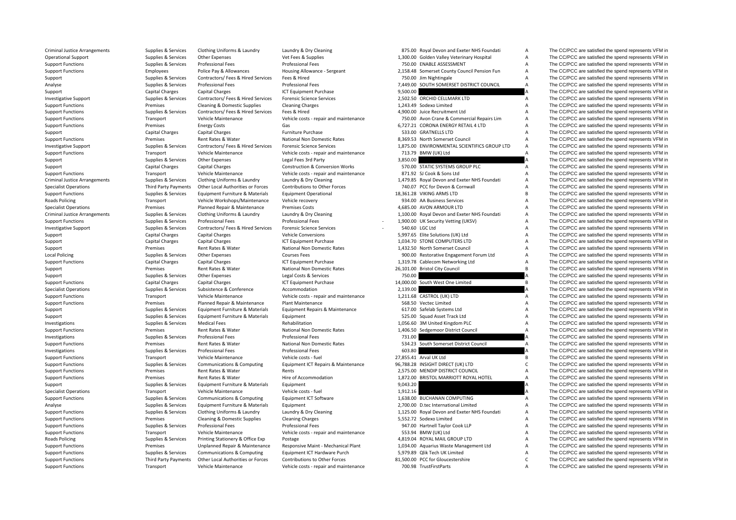| <b>Criminal Justice Arrangements</b> | Supplies & Services    | Clothing Uniforms & Laundry           | Laundry & Dry Cleaning                     | 875.00 Royal Devon and Exeter NHS Foundati   | A              | The CC/PCC are satisfied the spend represents VFM in |
|--------------------------------------|------------------------|---------------------------------------|--------------------------------------------|----------------------------------------------|----------------|------------------------------------------------------|
| <b>Operational Support</b>           | Supplies & Services    | Other Expenses                        | Vet Fees & Supplies                        | 1,300.00 Golden Valley Veterinary Hospital   | А              | The CC/PCC are satisfied the spend represents VFM in |
| <b>Support Functions</b>             | Supplies & Services    | <b>Professional Fees</b>              | <b>Professional Fees</b>                   | 750.00 ENABLE ASSESSMENT                     | А              | The CC/PCC are satisfied the spend represents VFM in |
| <b>Support Functions</b>             | Employees              | Police Pay & Allowances               | Housing Allowance - Sergeant               | 2,158.48 Somerset County Council Pension Fun | Α              | The CC/PCC are satisfied the spend represents VFM in |
| Support                              | Supplies & Services    | Contractors/ Fees & Hired Services    | Fees & Hired                               | 750.00 Jim Nightingale                       | $\overline{A}$ | The CC/PCC are satisfied the spend represents VFM in |
| Analyse                              | Supplies & Services    | <b>Professional Fees</b>              | <b>Professional Fees</b>                   | 7,449.00 SOUTH SOMERSET DISTRICT COUNCIL     | $\overline{A}$ | The CC/PCC are satisfied the spend represents VFM in |
| Support                              | Capital Charges        | Capital Charges                       | ICT Equipment Purchase                     | 9,500.00                                     |                | The CC/PCC are satisfied the spend represents VFM in |
| <b>Investigative Support</b>         | Supplies & Services    | Contractors/ Fees & Hired Services    | <b>Forensic Science Services</b>           | 2,502.50 ORCHID CELLMARK LTD                 | A              | The CC/PCC are satisfied the spend represents VFM in |
| <b>Support Functions</b>             | Premises               | Cleaning & Domestic Supplies          | <b>Cleaning Charges</b>                    | 1,243.49 Sodexo Limited                      | Α              | The CC/PCC are satisfied the spend represents VFM in |
| <b>Support Functions</b>             | Supplies & Services    | Contractors/ Fees & Hired Services    | Fees & Hired                               | 4,900.00 Juice Recruitment Ltd               | A              | The CC/PCC are satisfied the spend represents VFM in |
| <b>Support Functions</b>             | Transport              | Vehicle Maintenance                   | Vehicle costs - repair and maintenance     | 750.00 Avon Crane & Commercial Repairs Lim   | A              | The CC/PCC are satisfied the spend represents VFM in |
| <b>Support Functions</b>             | Premises               | <b>Energy Costs</b>                   | Gas                                        | 6,727.21 CORONA ENERGY RETAIL 4 LTD          | A              | The CC/PCC are satisfied the spend represents VFM in |
| Support                              | <b>Capital Charges</b> | Capital Charges                       | Furniture Purchase                         | 533.00 GRATNELLS LTD                         | A              | The CC/PCC are satisfied the spend represents VFM in |
| <b>Support Functions</b>             | Premises               | Rent Rates & Water                    | National Non Domestic Rates                | 8,369.53 North Somerset Council              | $\overline{A}$ | The CC/PCC are satisfied the spend represents VFM in |
| <b>Investigative Support</b>         | Supplies & Services    | Contractors/ Fees & Hired Services    | <b>Forensic Science Services</b>           | 1,875.00 ENVIRONMENTAL SCIENTIFICS GROUP LTD | Α              | The CC/PCC are satisfied the spend represents VFM in |
| <b>Support Functions</b>             |                        | Vehicle Maintenance                   | Vehicle costs - repair and maintenance     | 713.79 BMW (UK) Ltd                          | $\overline{A}$ | The CC/PCC are satisfied the spend represents VFM in |
|                                      | Transport              |                                       |                                            |                                              |                | The CC/PCC are satisfied the spend represents VFM in |
| Support                              | Supplies & Services    | Other Expenses                        | Legal Fees 3rd Party                       | 3,850.00                                     |                |                                                      |
| Support                              | Capital Charges        | Capital Charges                       | <b>Construction &amp; Conversion Works</b> | 570.00 STATIC SYSTEMS GROUP PLC              | Α              | The CC/PCC are satisfied the spend represents VFM in |
| <b>Support Functions</b>             | Transport              | Vehicle Maintenance                   | Vehicle costs - repair and maintenance     | 871.92 SJ Cook & Sons Ltd                    | Α              | The CC/PCC are satisfied the spend represents VFM in |
| <b>Criminal Justice Arrangements</b> | Supplies & Services    | Clothing Uniforms & Laundry           | Laundry & Dry Cleaning                     | 1,479.85 Royal Devon and Exeter NHS Foundati | A              | The CC/PCC are satisfied the spend represents VFM in |
| <b>Specialist Operations</b>         | Third Party Payments   | Other Local Authorities or Forces     | Contributions to Other Forces              | 740.07 PCC for Devon & Cornwall              | $\overline{A}$ | The CC/PCC are satisfied the spend represents VFM in |
| <b>Support Functions</b>             | Supplies & Services    | Equipment Furniture & Materials       | <b>Equipment Operational</b>               | 18,361.28 VIKING ARMS LTD                    | B              | The CC/PCC are satisfied the spend represents VFM in |
| Roads Policing                       | Transport              | Vehicle Workshops/Maintenance         | Vehicle recovery                           | 934.00 AA Business Services                  | $\overline{A}$ | The CC/PCC are satisfied the spend represents VFM in |
| <b>Specialist Operations</b>         | Premises               | Planned Repair & Maintenance          | <b>Premises Costs</b>                      | 4,685.00 AVON ARMOUR LTD                     | A              | The CC/PCC are satisfied the spend represents VFM in |
| <b>Criminal Justice Arrangements</b> | Supplies & Services    | Clothing Uniforms & Laundry           | Laundry & Dry Cleaning                     | 1,100.00 Royal Devon and Exeter NHS Foundati | Α              | The CC/PCC are satisfied the spend represents VFM in |
| <b>Support Functions</b>             | Supplies & Services    | Professional Fees                     | <b>Professional Fees</b>                   | 1,900.00 UK Security Vetting (UKSV)          | A              | The CC/PCC are satisfied the spend represents VFM in |
| <b>Investigative Support</b>         | Supplies & Services    | Contractors/ Fees & Hired Services    | <b>Forensic Science Services</b>           | 540.60 LGC Ltd                               | A              | The CC/PCC are satisfied the spend represents VFM in |
| Support                              | Capital Charges        | <b>Capital Charges</b>                | <b>Vehicle Conversions</b>                 | 5,997.65 Elite Solutions (UK) Ltd            | A              | The CC/PCC are satisfied the spend represents VFM in |
| Support                              | Capital Charges        | Capital Charges                       | ICT Equipment Purchase                     | 1,034.70 STONE COMPUTERS LTD                 | Α              | The CC/PCC are satisfied the spend represents VFM in |
| Support                              | Premises               | Rent Rates & Water                    | National Non Domestic Rates                | 1,432.50 North Somerset Council              | $\overline{A}$ | The CC/PCC are satisfied the spend represents VFM in |
| <b>Local Policing</b>                | Supplies & Services    | <b>Other Expenses</b>                 | <b>Courses Fees</b>                        | 900.00 Restorative Engagement Forum Ltd      | $\overline{A}$ | The CC/PCC are satisfied the spend represents VFM in |
| <b>Support Functions</b>             | Capital Charges        | <b>Capital Charges</b>                | ICT Equipment Purchase                     | 1,319.78 Cablecom Networking Ltd             | $\overline{A}$ | The CC/PCC are satisfied the spend represents VFM in |
| Support                              | Premises               | Rent Rates & Water                    | National Non Domestic Rates                | 26,101.00 Bristol City Council               | B              | The CC/PCC are satisfied the spend represents VFM in |
| Support                              | Supplies & Services    | Other Expenses                        | Legal Costs & Services                     | 750.00                                       |                | The CC/PCC are satisfied the spend represents VFM in |
| <b>Support Functions</b>             | Capital Charges        | Capital Charges                       | ICT Equipment Purchase                     | 14,000.00 South West One Limited             | B              | The CC/PCC are satisfied the spend represents VFM in |
| <b>Specialist Operations</b>         | Supplies & Services    | Subsistence & Conference              | Accommodation                              | 2,139.00                                     |                | The CC/PCC are satisfied the spend represents VFM in |
| <b>Support Functions</b>             | Transport              | Vehicle Maintenance                   | Vehicle costs - repair and maintenance     | 1,211.68 CASTROL (UK) LTD                    | A              | The CC/PCC are satisfied the spend represents VFM in |
| <b>Support Functions</b>             | Premises               | Planned Repair & Maintenance          | Plant Maintenance                          | 568.50 Vectec Limited                        | $\overline{A}$ | The CC/PCC are satisfied the spend represents VFM in |
| Support                              | Supplies & Services    | Equipment Furniture & Materials       | Equipment Repairs & Maintenance            | 617.00 Safelab Systems Ltd                   | $\overline{A}$ | The CC/PCC are satisfied the spend represents VFM in |
| Support                              | Supplies & Services    | Equipment Furniture & Materials       | Equipment                                  | 525.00 Squad Asset Track Ltd                 | Α              | The CC/PCC are satisfied the spend represents VFM in |
| Investigations                       | Supplies & Services    | <b>Medical Fees</b>                   | Rehabilitation                             | 1,056.60 3M United Kingdom PLC               | A              | The CC/PCC are satisfied the spend represents VFM in |
| <b>Support Functions</b>             | Premises               | Rent Rates & Water                    | National Non Domestic Rates                | 1,406.50 Sedgemoor District Council          | $\overline{A}$ | The CC/PCC are satisfied the spend represents VFM in |
|                                      |                        |                                       |                                            |                                              |                |                                                      |
| Investigations                       | Supplies & Services    | Professional Fees                     | <b>Professional Fees</b>                   | 731.00                                       |                | The CC/PCC are satisfied the spend represents VFM in |
| <b>Support Functions</b>             | Premises               | Rent Rates & Water                    | National Non Domestic Rates                | 534.23 South Somerset District Council       | $\mathsf{A}$   | The CC/PCC are satisfied the spend represents VFM in |
| Investigations                       | Supplies & Services    | <b>Professional Fees</b>              | <b>Professional Fees</b>                   | 603.80                                       |                | The CC/PCC are satisfied the spend represents VFM in |
| <b>Support Functions</b>             | Transport              | Vehicle Maintenance                   | Vehicle costs - fuel                       | 27,855.41 Arval UK Ltd                       | B              | The CC/PCC are satisfied the spend represents VFM in |
| <b>Support Functions</b>             | Supplies & Services    | Communications & Computing            | Equipment ICT Repairs & Maintenance        | 96,788.28 INSIGHT DIRECT (UK) LTD            | C              | The CC/PCC are satisfied the spend represents VFM in |
| <b>Support Functions</b>             | Premises               | Rent Rates & Water                    | Rents                                      | 2,575.00 MENDIP DISTRICT COUNCIL             | $\overline{A}$ | The CC/PCC are satisfied the spend represents VFM in |
| <b>Support Functions</b>             | Premises               | Rent Rates & Water                    | Hire of Accommodation                      | 1,872.00 BRISTOL MARRIOTT ROYAL HOTEL        | $\overline{A}$ | The CC/PCC are satisfied the spend represents VFM in |
| Support                              | Supplies & Services    | Equipment Furniture & Materials       | Equipment                                  | 9,043.20                                     |                | The CC/PCC are satisfied the spend represents VFM in |
| <b>Specialist Operations</b>         | Transport              | Vehicle Maintenance                   | Vehicle costs - fuel                       | 1,912.16                                     |                | The CC/PCC are satisfied the spend represents VFM in |
| <b>Support Functions</b>             | Supplies & Services    | <b>Communications &amp; Computing</b> | Equipment ICT Software                     | 1,638.00 BUCHANAN COMPUTING                  | Α              | The CC/PCC are satisfied the spend represents VFM in |
| Analyse                              | Supplies & Services    | Equipment Furniture & Materials       | Equipment                                  | 2,700.00 D.tec International Limited         | A              | The CC/PCC are satisfied the spend represents VFM in |
| <b>Support Functions</b>             | Supplies & Services    | Clothing Uniforms & Laundry           | Laundry & Dry Cleaning                     | 1,125.00 Royal Devon and Exeter NHS Foundati | А              | The CC/PCC are satisfied the spend represents VFM in |
| <b>Support Functions</b>             | Premises               | Cleaning & Domestic Supplies          | <b>Cleaning Charges</b>                    | 5,552.72 Sodexo Limited                      | A              | The CC/PCC are satisfied the spend represents VFM in |
| <b>Support Functions</b>             | Supplies & Services    | <b>Professional Fees</b>              | <b>Professional Fees</b>                   | 947.00 Hartnell Taylor Cook LLP              | A              | The CC/PCC are satisfied the spend represents VFM in |
| <b>Support Functions</b>             | Transport              | Vehicle Maintenance                   | Vehicle costs - repair and maintenance     | 553.94 BMW (UK) Ltd                          | $\overline{A}$ | The CC/PCC are satisfied the spend represents VFM in |
| Roads Policing                       | Supplies & Services    | Printing Stationery & Office Exp      | Postage                                    | 4,819.04 ROYAL MAIL GROUP LTD                | $\overline{A}$ | The CC/PCC are satisfied the spend represents VFM in |
| <b>Support Functions</b>             | Premises               | Unplanned Repair & Maintenance        | Responsive Maint - Mechanical Plant        | 1,034.00 Aquarius Waste Management Ltd       | A              | The CC/PCC are satisfied the spend represents VFM in |
| <b>Support Functions</b>             | Supplies & Services    | Communications & Computing            | Equipment ICT Hardware Purch               | 5,979.89 Qlik Tech UK Limited                | A              | The CC/PCC are satisfied the spend represents VFM in |
| <b>Support Functions</b>             | Third Party Payments   | Other Local Authorities or Forces     | Contributions to Other Forces              | 81,500.00 PCC for Gloucestershire            | C              | The CC/PCC are satisfied the spend represents VFM in |
|                                      |                        |                                       |                                            |                                              |                |                                                      |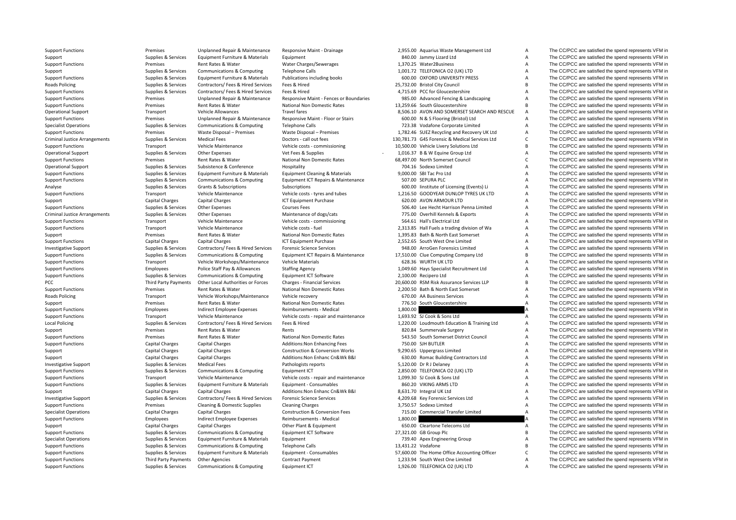**Roads Policing** Criminal JusticeCriminal JusticePCC Third Party Payments **Roads Policing** Local Policing

Support Functions Premises Premises Unplanned Repair & Maintenance Responsive Maint - Drainage 2,955.00 Aquarius Waste Management Ltd A The CC/PCC are satisfied the spend represents VFM in

Support Functions **Premises** Waste Disposal – Premises Waste Disposal – Premises 2,782.46 SUEZ Recycling and Recovery UK Ltd A

Support Supplies & Services Equipment Furniture & Materials Equipment A Support B40.00 Jammy Lizard Ltd A The CC/PCC are satisfied the spend represents VFM in Support Functions Premises Rent Rates & Water Water Charges/Sewerages 1,370.25 Water2Business A The CC/PCC are satisfied the spend represents VFM in Support Supplies & Services Communications & Computing Telephone Calls 1,001.72 TELEFONICA O2 (UK) LTD A The CC/PCC are satisfied the spend represents VFM in Support Functions Supplies & Services Equipment Furniture & Materials Publications including books 600.00 OXFORD UNIVERSITY PRESS A The CC/PCC are satisfied the spend represents VFM in Policing Supplies & Services Contractors/ Fees & Hired Services Fees & Hired 25,732.00 Bristol City Council <sup>B</sup> The CC/PCC are satisfied the spend represents VFM in Support Functions Supplies & Services Contractors/ Fees & Hired Services Fees & Hired 4,715.69 PCC for Gloucestershire A The CC/PCC are satisfied the spend represents VFM in Support Functions Premises Premises Unplanned Repair & Maintenance Responsive Maint - Fences or Boundaries 985.00 Advanced Fencing & Landscaping A The CC/PCC are satisfied the spend represents VFM in Support Functions Premises Rent Rates & Water National Non Domestic Rates 13,259.66 South Gloucestershire B The CC/PCC are satisfied the spend represents VFM in Operational Support Transport Vehicle Allowances Travel fares Travel fares 8,506.10 AVON AND SOMERSET SEARCH AND RESCUE A The CC/PCC are satisfied the spend represents VFM in Support Functions Premises Premises Unplanned Repair & Maintenance Responsive Maint - Floor or Stairs 600.00 N & S Flooring (Bristol) Ltd A The CC/PCC are satisfied the spend represents VFM in Specialist Operations Supplies Services Communications & Computing Telephone Calls 723.38 Vodafone Corporate Limited A The CC/PCC are satisfied the spend represents VFM in Supplies & Services Waste Disposal – Premises Wast Arrangements Supplies & Services Medical Fees Doctors ‐ call out fees 130,781.73 G4S Forensic & Medical Services Ltd C The CC/PCC are satisfied the spend represents VFM in Support Functions Transport Vehicle Maintenance Vehicle costs - commissioning 10,500.00 Vehicle Livery Solutions Ltd B The CC/PCC are satisfied the spend represents VFM in Operational Support Supplies Services Other Expenses Vet Fees & Supplies 2, 2016.37 B & W Fquine Group Ltd A The CC/PCC are satisfied the spend represents VFM in Support Functions Premises Rent Rates & Water National Non Domestic Rates 68.497.00 North Somerset Council C The CC/PCC are satisfied the spend represents VFM in Operational Support Supplies & Services Subsistence & Conference Hospitality Hospitality 704.16 Sodexo Limited A The CC/PCC are satisfied the spend represents VFM in Support Functions Supplies Services Equipment Furniture & Materials Foutionent Cleaning & Materials 9,000.00 SBI Tac Pro Ltd A The CC/PCC are satisfied the spend represents VFM in Support Functions Supplies & Services Communications & Computing Equipment ICT Repairs & Maintenance 507.00 SEPURA PLC A The CC/PCC are satisfied the spend represents VFM in Analyse Supplies & Services Grants & Subscriptions Subscriptions Subscriptions Subscriptions Subscriptions Subscriptions and the Subscriptions of the Subscriptions of the Subscriptions of the Subscriptions of the Subscript Support Functions Transport Vehicle Maintenance Vehicle costs - tyres and tubes 1,216.50 GOODYEAR DUNLOP TYRES UK LTD A The CC/PCC are satisfied the spend represents VFM in Support Capital Charges Capital Charges Capital Charges Capital Charges ICT Equipment Purchase 620.00 AVON ARMOUR LTD A The CC/PCC are satisfied the spend represents VFM in Support Functions Supplies Supplies & Services Other Expenses Courses Fees Support Courses Fees Supplies and the Spend represents VFM in Supplies & Services Other Expenses Maintenance of dogs/cats 775.00 Overhill Kennels & Exports A The CC/PCC are satisfied the spend represents VFM in Support Functions Transport Vehicle Maintenance Vehicle costs – commissioning 564.61 Hall's Electrical Ltd A The CC/PCC are satisfied the spend represents VFM in Support Functions Transport Vehicle Maintenance Vehicle costs – fuel 2,313.85 Hall Fuels a trading division of Wa A The CC/PCC are satisfied the spend represents VFM in<br>Support and the spend represents VFM in Support and t Support Premises Rent Rates & Water National Non Domestic Rates 1,395.83 Bath & North East Somerset A The CC/PCC are satisfied the spend represents VFM in Support Functions Capital Charges Capital Charges Capital Charges ICT Equipment Purchase 2,552.65 South West One Limited A The CC/PCC are satisfied the spend represents VFM in Investigative Support Support Support Supportes Services Contractors/ Fees & Hired Services Forensic Science Services and the Services 948.00 ArroGen Forensics Limited A The CC/PCC are satisfied the spend represents VFM in Support Functions Supplies & Services Communications & Computing Equipment ICT Repairs & Maintenance 17,510.00 Clue Computing Company Ltd B The CC/PCC are satisfied the spend represents VFM in Support Functions Transport Vehicle Workshops/Maintenance Vehicle Materials 628.36 WURTH UK LTD A The CC/PCC are satisfied the spend represents VFM in Support Functions Employees Police Staff Pay & Allowances Staffing Agency 1,049.60 Hays Specialist Recruitment Ltd A The CC/PCC are satisfied the spend represents VFM in Support Functions Supplies Supplies & Services Communications & Computing Equipment ICT Software 2,100.00 Recipero Ltd A The CC/PCC are satisfied the spend represents VFM in Other Local Authorities or Forces Charges - Financial Services 20,600.00 RSM Risk Assurance Services LLP B The CC/PCC are satisfied the spend represents VFM in Support Functions Premises Rent Rates & Water National Non Domestic Rates 2,200.50 Bath & North East Somerset A The CC/PCC are satisfied the spend represents VFM in Transport Vehicle Workshops/Maintenance Vehicle recovery example to the STO.00 AA Business Services A The CC/PCC are satisfied the spend represents VFM in Support Premises Rent Rates & Water National Non Domestic Rates 776.50 South Gloucestershire A The CC/PCC are satisfied the spend represents VFM in Support Functions Support Employees Indirect Employee Expenses Reimbursements - Medical 1,800.00 A The CC/PCC are satisfied the spend represents VFM in Support Functions Transport Vehicle Maintenance Vehicle costs - repair and maintenance 1,693.92 SJ Cook & Sons Ltd A The CC/PCC are satisfied the spend represents VFM in<br>A The CC/PCC are satisfied the spend represents VFM Policing Supplies & Services Contractors/ Fees & Hired Services Fees & Hired 1,220.00 Loudmouth Education & Training Ltd A The CC/PCC are satisfied the spend represents VFM in Support Premises Rent Rates & Water Rents Rents Rents Rents Rents 820.84 Summervale Surgery A The CC/PCC are satisfied the spend represents VFM in Support Functions Premises Rent Rates & Water National Non Domestic Rates 543.50 South Somerset District Council A The CC/PCC are satisfied the spend represents VFM in Support Functions Capital Charges Capital Charges Capital Charges Additions:Non Enhancing Fees 750.00 SJH BUTLER A The CC/PCC are satisfied the spend represents VFM in Support Capital Charges Capital Charges Construction & Conversion Works 9,290.65 Uppergrass Limited A The CC/PCC are satisfied the spend represents VFM in Support Capital Charges Capital Charges Additions:Non Enhanc Cn&Wk B&I 630.00 Romac Building Contractors Ltd A The CC/PCC are satisfied the spend represents VFM in Investigative Support Support Support Support Supported Medical Fees Pathologists reports Pathologists reports Support Support and the Services Medical Fees Pathologists reports Support Support Support Delaney A The CC/PCC Support Functions Supplies & Services Communications & Computing Equipment ICT 2,850.00 TELEFONICA O2 (UK) LTD A The CC/PCC are satisfied the spend represents VFM in Support Functions Transport Vehicle Maintenance Vehicle costs - repair and maintenance 1,099.30 SJ Cook & Sons Ltd A The CC/PCC are satisfied the spend represents VFM in Support Functions Supplies & Services Equipment Furniture & Materials Equipment - Consumables 860.20 VIKING ARMS LTD A The CC/PCC are satisfied the spend represents VFM in Support Capital Charges Capital Charges Additions:Non Enhanc Cn&Wk B&I 8,631.70 Integral UK Ltd A The CC/PCC are satisfied the spend represents VFM in Investigative Support Supplies & Services Contractors/ Fees & Hired Services Forensic Science Services A A 209.68 Key Forensic Services Ltd A The CC/PCC are satisfied the spend represents VFM in Support Functions **Support Cleaning Access Cleaning & Domestic Supplies** Cleaning Charges Cleaning Charges 3,750.57 Sodexo Limited A The CC/PCC are satisfied the spend represents VFM in Specialist Operations Capital Charges Capital Charges Construction & Conversion Fees 715.00 Commercial Transfer Limited A The CC/PCC are satisfied the spend represents VFM in Support Functions Employees Indirect Employee Expenses Reimbursements - Medical 1,800.00 A The CC/PCC are satisfied the spend represents VFM in Support Capital Charges Capital Charges Capital Charges Other Plant & Equipment 650.00 Cleartone Telecoms Ltd A The CC/PCC are satisfied the spend represents VFM in Support Functions Supplies & Services Communications & Computing Equipment ICT Software 27,321.00 GB Group Plc B The CC/PCC are satisfied the spend represents VFM in Specialist Operations Supplies & Services Equipment Furniture & Materials Equipment Furniture and The CC/PCC are satisfied the spend represents VFM in Support Functions Supplies Supplies & Services Communications & Computing Telephone Calls 13,431.22 Vodafone 13,431.22 Vodafone B The CC/PCC are satisfied the spend represents VFM in Support Functions Supplies & Services Equipment Furniture & Materials Equipment - Consumables 57,600.00 The Home Office Accounting Officer C The CC/PCC are satisfied the spend represents VFM in Support Functions Third Party Payments Other Agencies Contract Payment Contract Payment 1,233.94 South West One Limited A The CC/PCC are satisfied the spend represents VFM in Support Functions Supplies Supplies & Services Communications & Computing Equipment ICT 1,926.00 TELEFONICA O2 (UK) LTD A The CC/PCC are satisfied the spend represents VFM in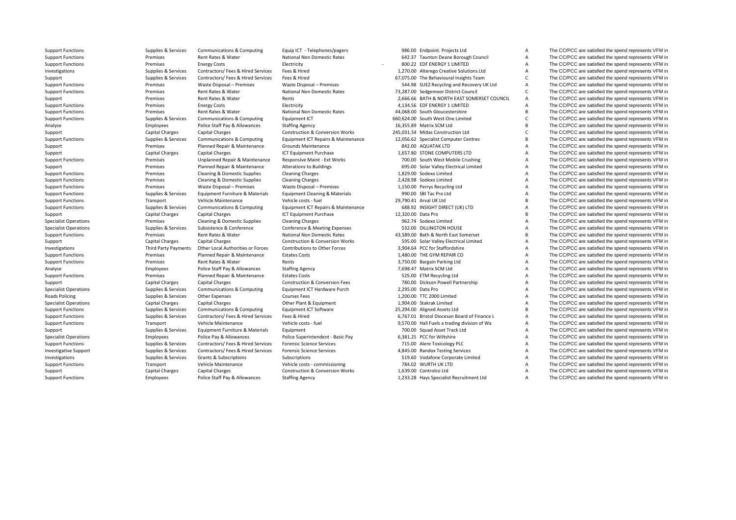**Roads Policing** 

Support Functions Supplies Supplies & Services Communications & Computing Faujo ICT - Telephones/pagers 986.00 Endpoint. Projects Ltd A The CC/PCC are satisfied the spend represents VFM in

Support Functions Premises Rent Rates & Water National Non Domestic Rates 642.37 Taunton Deane Borough Council A The CC/PCC are satisfied the spend represents VFM in Support Functions **Exercices** Premises Functions Electricity **Electricity Functions Premises** Energy Costs **Electricity Electricity 1999 COSTS EXERCY 1 LIMITED A** The CC/PCC are satisfied the spend represents Investigations Supplies & Services Contractors/ Fees & Hired Services Fees & Hired 1,270.00 Alterego Creative Solutions Ltd A The CC/PCC are satisfied the spend represents VFM in Support Supplies & Services Contractors/ Fees & Hired Services Fees & Hired Services Fees & Hired COLC 67,075.00 The Behavioural Insights Team C The CC/PCC are satisfied the spend represents VFM in Support Functions Premises Waste Disposal – Premises Waste Disposal – Premises Premises Premises Support Content and Recovery UK Ltd A The CC/PCC are satisfied the spend represents VFM in Support Functions **Premises** Premises Rent Rates & Water National Non Domestic Rates 73,287.00 Sedgemoor District Council C The CC/PCC are satisfied the spend represents VFM in Support Premises Rent Rates & Water Rents Rents Rents Rents 2,666.66 BATH & NORTH EAST SOMERSET COUNCIL A The CC/PCC are satisfied the spend represents VFM in Support Functions examples and the experiments of the Spend represents VFM in Electricity and the Spend represents VFM in the CC/PCC are satisfied the spend represents VFM in Support Functions Premises Rent Rates & Water National Non Domestic Rates 44,068.00 South Gloucestershire B The CC/PCC are satisfied the spend represents VFM in Support Functions Supplies & Services Communications & Computing Equipment ICT 660,624.00 South West One Limited C The CC/PCC are satisfied the spend represents VFM in Analyse Employees Police Staff Pay & Allowances Staffing Agency 16,355.89 Matrix SCM Ltd B The CC/PCC are satisfied the spend represents VFM in<br>Support The CC/PCC are satisfied the spend represents VFM in Construction & Co Support Capital Charges Capital Charges Capital Charges Construction & Conversion Works 245,031.54 Midas Construction Ltd C The CC/PCC are satisfied the spend represents VFM in Support Functions Supplies Supplies & Services Communications & Computing Faultoment ICT Repairs & Maintenance 12,056.62 Specialist Computer Centres B The CC/PCC are satisfied the spend represents VFM in Support Premises Planned Repair & Maintenance Srounds Maintenance and Support and Support and The CC/PCC are satisfied the spend represents VFM in<br>Support and Capital Charges Capital Charges Capital Charges ICT Foulinment Support Capital Charges Capital Charges Capital Charges ICT Equipment Purchase 1,657.80 STONE COMPUTERS LTD A The CC/PCC are satisfied the spend represents VFM in Support Functions Premises Premises Unplanned Repair & Maintenance Responsive Maint - Ext Works 700.00 South West Mobile Crushing A The CC/PCC are satisfied the spend represents VFM in Support Premises Planned Repair & Maintenance Alterations to Buildings 695.00 Solar Valley Electrical Limited A The CC/PCC are satisfied the spend represents VFM in Support Functions Cleaning Cleaning & Domestic Supplies Cleaning Charges 1,829.00 Sodexo Limited A The CC/PCC are satisfied the spend represents VFM in Support Functions **Premises** Cleaning & Domestic Supplies Cleaning Charges 2,428.98 Sodexo Limited A The CC/PCC are satisfied the spend represents VFM in Support Functions **Premises** Waste Disposal – Premises Waste Disposal – Premises Waste Disposal – Premises 1,150.00 Perrys Recycling Ltd A The CC/PCC are satisfied the spend represents VFM in Support Functions Supplies & Services Equipment Furniture & Materials Equipment Cleaning & Materials 990.00 SBI Tac Pro Ltd A The CC/PCC are satisfied the spend represents VFM in Support Functions Transport Transport Vehicle Maintenance Vehicle Costs - fuel 29,790.41 Arval UK Ltd B The CC/PCC are satisfied the spend represents VFM in Support Communications & Communications & Communications Equipmen Support Functions Supplies & Services Communications & Computing Equipment ICT Repairs & Maintenance 688.92 INSIGHT DIRECT (UK) LTD A The CC/PCC are satisfied the spend represents VFM in Support Capital Charges Capital Charges Capital Charges Capital Charges ICT Equipment Purchase 12,320.00 Data Pro B The CC/PCC are satisfied the spend represents VFM in Succialist Operations Premises Cleaning & Domestic Su Specialist Operations **Premises** Cleaning & Domestic Supplies Cleaning Charges 962.74 Sodexo Limited A The CC/PCC are satisfied the spend represents VFM in Specialist Operations Subsistence Subsistence & Conference Conference Conference & Meeting Expenses 532.00 DILLINGTON HOUSE A The CC/PCC are satisfied the spend represents VFM in Supplies & Services Subsistence & Conferenc Support Functions Premises Rent Rates & Water National Non Domestic Rates 43,589.00 Bath & North East Somerset B The CC/PCC are satisfied the spend represents VFM in Support Capital Charges Capital Charges Capital Charges Construction & Conversion Works 595.00 Solar Valley Electrical Limited A The CC/PCC are satisfied the spend represents VFM in Investigations Third Party Payments Other Local Authorities or Forces Contributions to Other Forces 3,904.64 PCC for Staffordshire A The CC/PCC are satisfied the spend represents VFM in Support Functions external premises Planned Repair & Maintenance Estates Costs 1,480.00 THE GYM REPAIR CO A The CC/PCC are satisfied the spend represents VFM in Support Functions Premises Rent Rates & Water Rents Rents Rents Rents 3,750.00 Bargain Parking Ltd A The CC/PCC are satisfied the spend represents VFM in Analyse Employees Police Staff Pay & Allowances Staffing Agency 7,698.47 Matrix SCM Ltd A The CC/PCC are satisfied the spend represents VFM in Support Functions Premises Planned Repair & Maintenance Estates Costs States Costs 525.00 ETM Recycling Ltd A The CC/PCC are satisfied the spend represents VFM in Support Capital Charges Capital Charges Capital Charges Construction & Conversion Fees 780.00 Dickson Powell Partnership A The CC/PCC are satisfied the spend represents VFM in Specialist Operations Supplies & Services Communications & Computing Equipment ICT Hardware Purch 2,295.00 Data Pro A The CC/PCC are satisfied the spend represents VFM in Policing Supplies & Services Other Expenses Courses Fees 1,200.00 TTC 2000 Limited A The CC/PCC are satisfied the spend represents VFM in Specialist Operations Capital Charges Capital Charges Capital Charges Other Plant & Equipment 1,904.00 Stakrak Limited A The CC/PCC are satisfied the spend represents VFM in Support Functions Supplies & Services Communications & Computing Equipment ICT Software 25,294.00 Aligned Assets Ltd B The CC/PCC are satisfied the spend represents VFM in Support Functions Supplies Supplies & Services Contractors/ Fees & Hired Services Fees & Hired Services Fees & Hired Services Fees & Hired 6,767.01 Bristol Diocesan Board of Finance L A The CC/PCC are satisfied the spend r Support Functions Transport Vehicle Maintenance Vehicle costs - fuel 9,570.00 Hall Fuels a trading division of Wa A The CC/PCC are satisfied the spend represents VFM in Support Supplies & Services Equipment Furniture & Materials Equipment Curries Equipment 700.00 Squad Asset Track Ltd A The CC/PCC are satisfied the spend represents VFM in Specialist Operations Employees Police Pay & Allowances Police Superintendent - Basic Pay 6.381.25 PCC for Wiltshire A The CC/PCC are satisfied the spend represents VFM in Support Functions Supplies Supplies & Services Contractors/ Fees & Hired Services Forensic Science Services 715.00 Alere Toxicology PLC A The CC/PCC are satisfied the spend represents VFM in Investigative Support Support Support Support Supported Supported Services Contractors/ Fees & Hired Services Forensic Science Services A 4,845.00 Randox Testing Services A The CC/PCC are satisfied the spend represents VFM Investigations Supplies & Services Grants & Subscriptions Subscriptions Subscriptions Subscriptions Subscriptions Subscriptions Subscriptions Subscriptions Subscriptions Subscriptions Subscriptions Subscriptions Subscripti Support Functions Transport Vehicle Maintenance Vehicle costs – commissioning 784.02 WURTH UK LTD A The CC/PCC are satisfied the spend represents VFM in Support Capital Charges Capital Charges Capital Charges Construction & Conversion Works 1,639.00 Controlco Ltd A The CC/PCC are satisfied the spend represents VFM in Support Functions Employees Police Staff Pay & Allowances Staffing Agency 1,233.28 Hays Specialist Recruitment Ltd A The CC/PCC are satisfied the spend represents VFM in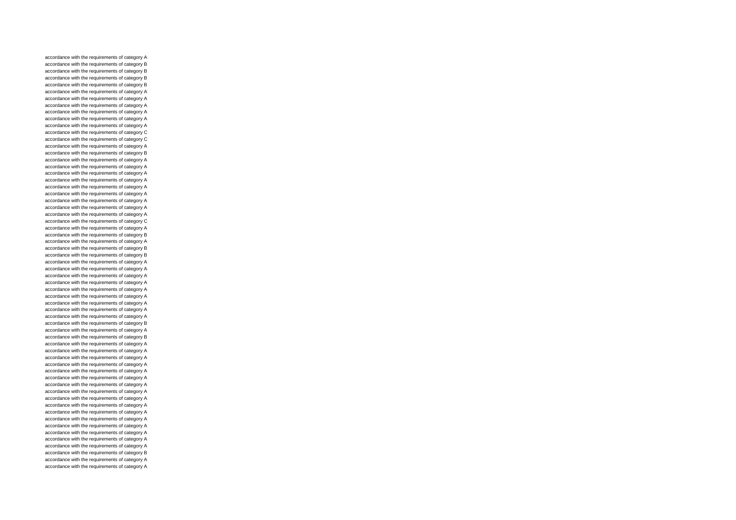accordance with the requirements of category A accordance with the requirements of category B accordance with the requirements of category B accordance with the requirements of category B accordance with the requirements of category B accordance with the requirements of category A accordance with the requirements of category A accordance with the requirements of category A accordance with the requirements of category A accordance with the requirements of category A accordance with the requirements of category A accordance with the requirements of category C accordance with the requirements of category C accordance with the requirements of category A accordance with the requirements of category B accordance with the requirements of category A accordance with the requirements of category A accordance with the requirements of category A accordance with the requirements of category A accordance with the requirements of category A accordance with the requirements of category A accordance with the requirements of category A accordance with the requirements of category A accordance with the requirements of category A accordance with the requirements of category C accordance with the requirements of category A accordance with the requirements of category B accordance with the requirements of category A accordance with the requirements of category B accordance with the requirements of category B accordance with the requirements of category A accordance with the requirements of category A accordance with the requirements of category A accordance with the requirements of category A accordance with the requirements of category A accordance with the requirements of category A accordance with the requirements of category A accordance with the requirements of category A accordance with the requirements of category A accordance with the requirements of category B accordance with the requirements of category A accordance with the requirements of category B accordance with the requirements of category A accordance with the requirements of category A accordance with the requirements of category A accordance with the requirements of category A accordance with the requirements of category A accordance with the requirements of category A accordance with the requirements of category A accordance with the requirements of category A accordance with the requirements of category A accordance with the requirements of category A accordance with the requirements of category A accordance with the requirements of category A accordance with the requirements of category A accordance with the requirements of category A accordance with the requirements of category A accordance with the requirements of category A accordance with the requirements of category B accordance with the requirements of category A accordance with the requirements of category A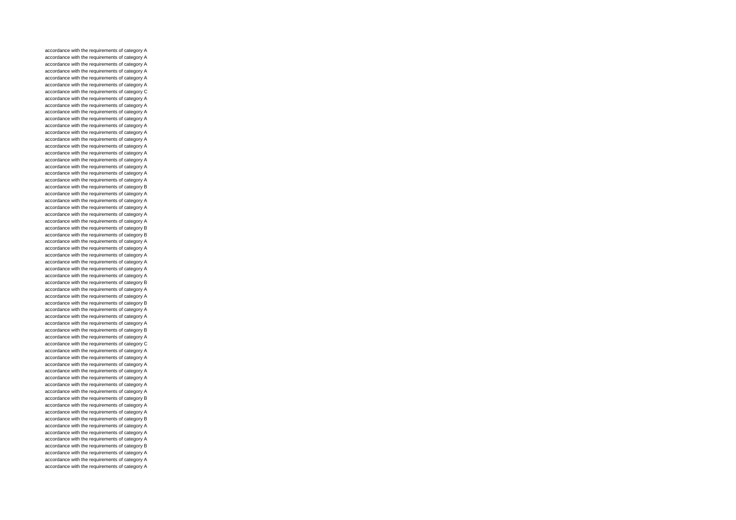accordance with the requirements of category A accordance with the requirements of category A accordance with the requirements of category A accordance with the requirements of category A accordance with the requirements of category A accordance with the requirements of category A accordance with the requirements of category C accordance with the requirements of category A accordance with the requirements of category A accordance with the requirements of category A accordance with the requirements of category A accordance with the requirements of category A accordance with the requirements of category A accordance with the requirements of category A accordance with the requirements of category A accordance with the requirements of category A accordance with the requirements of category A accordance with the requirements of category A accordance with the requirements of category A accordance with the requirements of category A accordance with the requirements of category B accordance with the requirements of category A accordance with the requirements of category A accordance with the requirements of category A accordance with the requirements of category A accordance with the requirements of category A accordance with the requirements of category B accordance with the requirements of category B accordance with the requirements of category A accordance with the requirements of category A accordance with the requirements of category A accordance with the requirements of category A accordance with the requirements of category A accordance with the requirements of category A accordance with the requirements of category B accordance with the requirements of category A accordance with the requirements of category A accordance with the requirements of category B accordance with the requirements of category A accordance with the requirements of category A accordance with the requirements of category A accordance with the requirements of category B accordance with the requirements of category A accordance with the requirements of category C accordance with the requirements of category A accordance with the requirements of category A accordance with the requirements of category A accordance with the requirements of category A accordance with the requirements of category A accordance with the requirements of category A accordance with the requirements of category A accordance with the requirements of category B accordance with the requirements of category A accordance with the requirements of category A accordance with the requirements of category B accordance with the requirements of category A accordance with the requirements of category A accordance with the requirements of category A accordance with the requirements of category B accordance with the requirements of category A accordance with the requirements of category A accordance with the requirements of category A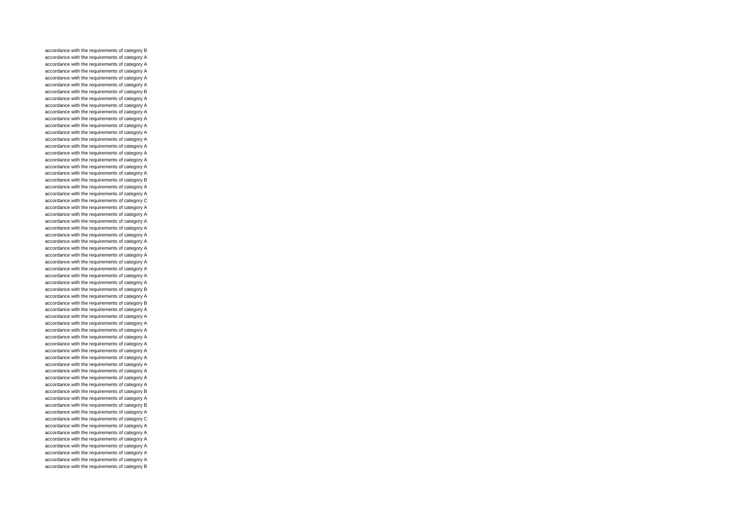accordance with the requirements of category B accordance with the requirements of category A accordance with the requirements of category A accordance with the requirements of category A accordance with the requirements of category A accordance with the requirements of category A accordance with the requirements of category B accordance with the requirements of category A accordance with the requirements of category A accordance with the requirements of category A accordance with the requirements of category A accordance with the requirements of category A accordance with the requirements of category A accordance with the requirements of category A accordance with the requirements of category A accordance with the requirements of category A accordance with the requirements of category A accordance with the requirements of category A accordance with the requirements of category A accordance with the requirements of category B accordance with the requirements of category A accordance with the requirements of category A accordance with the requirements of category C accordance with the requirements of category A accordance with the requirements of category A accordance with the requirements of category A accordance with the requirements of category A accordance with the requirements of category A accordance with the requirements of category A accordance with the requirements of category A accordance with the requirements of category A accordance with the requirements of category A accordance with the requirements of category A accordance with the requirements of category A accordance with the requirements of category A accordance with the requirements of category B accordance with the requirements of category A accordance with the requirements of category B accordance with the requirements of category A accordance with the requirements of category A accordance with the requirements of category A accordance with the requirements of category A accordance with the requirements of category A accordance with the requirements of category A accordance with the requirements of category A accordance with the requirements of category A accordance with the requirements of category A accordance with the requirements of category A accordance with the requirements of category A accordance with the requirements of category A accordance with the requirements of category B accordance with the requirements of category A accordance with the requirements of category B accordance with the requirements of category A accordance with the requirements of category C accordance with the requirements of category A accordance with the requirements of category A accordance with the requirements of category A accordance with the requirements of category A accordance with the requirements of category A accordance with the requirements of category A accordance with the requirements of category B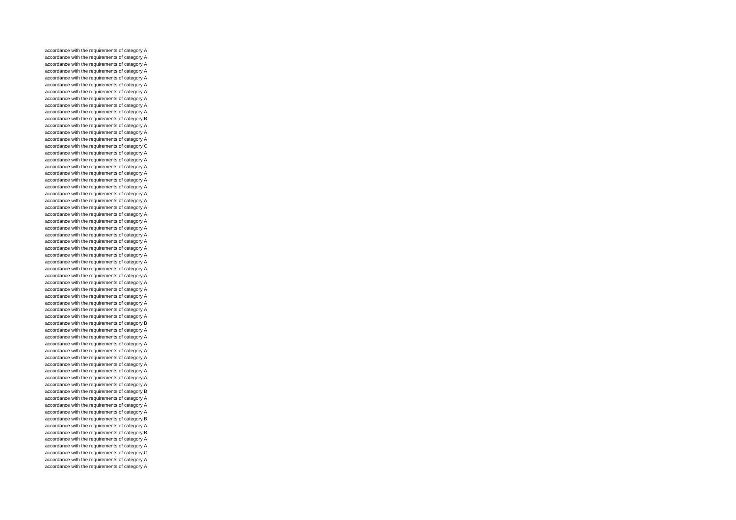accordance with the requirements of category A accordance with the requirements of category A accordance with the requirements of category A accordance with the requirements of category A accordance with the requirements of category A accordance with the requirements of category A accordance with the requirements of category A accordance with the requirements of category A accordance with the requirements of category A accordance with the requirements of category A accordance with the requirements of category B accordance with the requirements of category A accordance with the requirements of category A accordance with the requirements of category A accordance with the requirements of category C accordance with the requirements of category A accordance with the requirements of category A accordance with the requirements of category A accordance with the requirements of category A accordance with the requirements of category A accordance with the requirements of category A accordance with the requirements of category A accordance with the requirements of category A accordance with the requirements of category A accordance with the requirements of category A accordance with the requirements of category A accordance with the requirements of category A accordance with the requirements of category A accordance with the requirements of category A accordance with the requirements of category A accordance with the requirements of category A accordance with the requirements of category A accordance with the requirements of category A accordance with the requirements of category A accordance with the requirements of category A accordance with the requirements of category A accordance with the requirements of category A accordance with the requirements of category A accordance with the requirements of category A accordance with the requirements of category A accordance with the requirements of category B accordance with the requirements of category A accordance with the requirements of category A accordance with the requirements of category A accordance with the requirements of category A accordance with the requirements of category A accordance with the requirements of category A accordance with the requirements of category A accordance with the requirements of category A accordance with the requirements of category A accordance with the requirements of category B accordance with the requirements of category A accordance with the requirements of category A accordance with the requirements of category A accordance with the requirements of category B accordance with the requirements of category A accordance with the requirements of category B accordance with the requirements of category A accordance with the requirements of category A accordance with the requirements of category C accordance with the requirements of category A accordance with the requirements of category A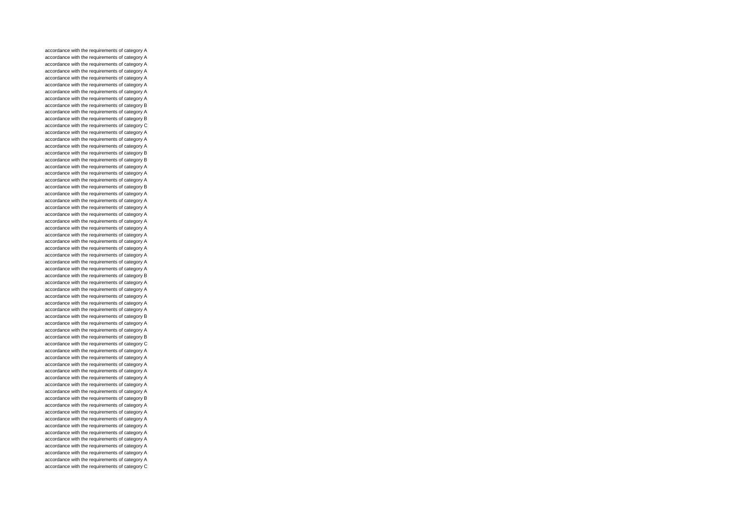accordance with the requirements of category A accordance with the requirements of category A accordance with the requirements of category A accordance with the requirements of category A accordance with the requirements of category A accordance with the requirements of category A accordance with the requirements of category A accordance with the requirements of category A accordance with the requirements of category B accordance with the requirements of category A accordance with the requirements of category B accordance with the requirements of category C accordance with the requirements of category A accordance with the requirements of category A accordance with the requirements of category A accordance with the requirements of category B accordance with the requirements of category B accordance with the requirements of category A accordance with the requirements of category A accordance with the requirements of category A accordance with the requirements of category B accordance with the requirements of category A accordance with the requirements of category A accordance with the requirements of category A accordance with the requirements of category A accordance with the requirements of category A accordance with the requirements of category A accordance with the requirements of category A accordance with the requirements of category A accordance with the requirements of category A accordance with the requirements of category A accordance with the requirements of category A accordance with the requirements of category A accordance with the requirements of category B accordance with the requirements of category A accordance with the requirements of category A accordance with the requirements of category A accordance with the requirements of category A accordance with the requirements of category A accordance with the requirements of category B accordance with the requirements of category A accordance with the requirements of category A accordance with the requirements of category B accordance with the requirements of category C accordance with the requirements of category A accordance with the requirements of category A accordance with the requirements of category A accordance with the requirements of category A accordance with the requirements of category A accordance with the requirements of category A accordance with the requirements of category A accordance with the requirements of category B accordance with the requirements of category A accordance with the requirements of category A accordance with the requirements of category A accordance with the requirements of category A accordance with the requirements of category A accordance with the requirements of category A accordance with the requirements of category A accordance with the requirements of category A accordance with the requirements of category A accordance with the requirements of category C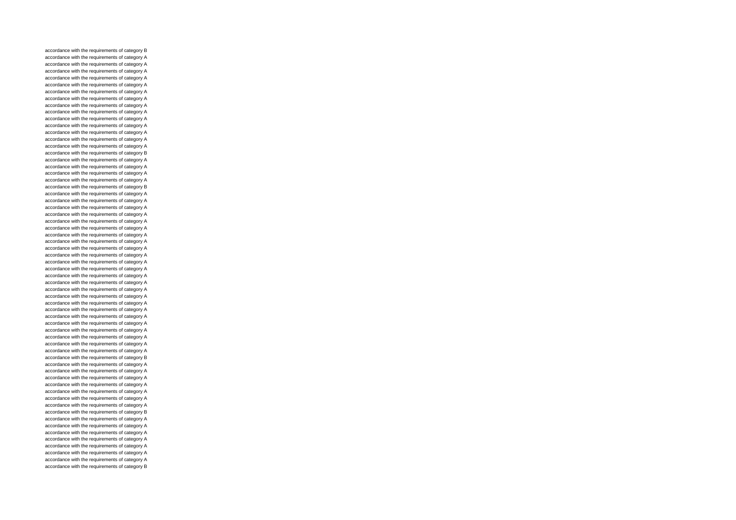accordance with the requirements of category B accordance with the requirements of category A accordance with the requirements of category A accordance with the requirements of category A accordance with the requirements of category A accordance with the requirements of category A accordance with the requirements of category A accordance with the requirements of category A accordance with the requirements of category A accordance with the requirements of category A accordance with the requirements of category A accordance with the requirements of category A accordance with the requirements of category A accordance with the requirements of category A accordance with the requirements of category A accordance with the requirements of category B accordance with the requirements of category A accordance with the requirements of category A accordance with the requirements of category A accordance with the requirements of category A accordance with the requirements of category B accordance with the requirements of category A accordance with the requirements of category A accordance with the requirements of category A accordance with the requirements of category A accordance with the requirements of category A accordance with the requirements of category A accordance with the requirements of category A accordance with the requirements of category A accordance with the requirements of category A accordance with the requirements of category A accordance with the requirements of category A accordance with the requirements of category A accordance with the requirements of category A accordance with the requirements of category A accordance with the requirements of category A accordance with the requirements of category A accordance with the requirements of category A accordance with the requirements of category A accordance with the requirements of category A accordance with the requirements of category A accordance with the requirements of category A accordance with the requirements of category A accordance with the requirements of category A accordance with the requirements of category A accordance with the requirements of category B accordance with the requirements of category A accordance with the requirements of category A accordance with the requirements of category A accordance with the requirements of category A accordance with the requirements of category A accordance with the requirements of category A accordance with the requirements of category A accordance with the requirements of category B accordance with the requirements of category A accordance with the requirements of category A accordance with the requirements of category A accordance with the requirements of category A accordance with the requirements of category A accordance with the requirements of category A accordance with the requirements of category A accordance with the requirements of category B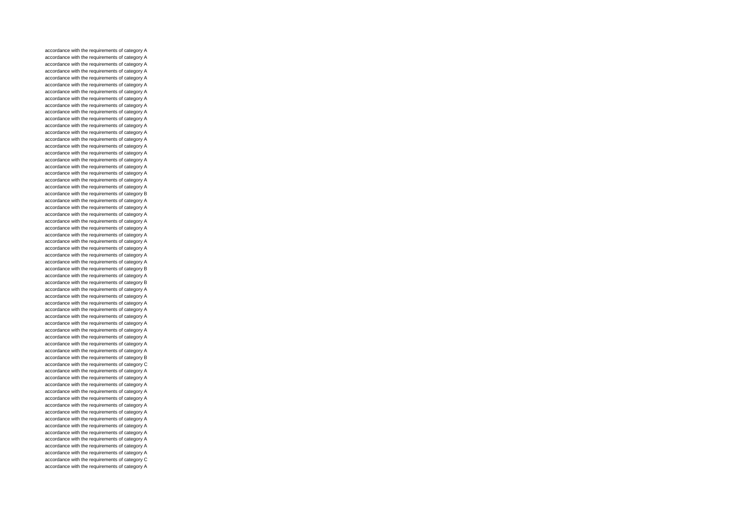accordance with the requirements of category A accordance with the requirements of category A accordance with the requirements of category A accordance with the requirements of category A accordance with the requirements of category A accordance with the requirements of category A accordance with the requirements of category A accordance with the requirements of category A accordance with the requirements of category A accordance with the requirements of category A accordance with the requirements of category A accordance with the requirements of category A accordance with the requirements of category A accordance with the requirements of category A accordance with the requirements of category A accordance with the requirements of category A accordance with the requirements of category A accordance with the requirements of category A accordance with the requirements of category A accordance with the requirements of category A accordance with the requirements of category A accordance with the requirements of category B accordance with the requirements of category A accordance with the requirements of category A accordance with the requirements of category A accordance with the requirements of category A accordance with the requirements of category A accordance with the requirements of category A accordance with the requirements of category A accordance with the requirements of category A accordance with the requirements of category A accordance with the requirements of category A accordance with the requirements of category B accordance with the requirements of category A accordance with the requirements of category B accordance with the requirements of category A accordance with the requirements of category A accordance with the requirements of category A accordance with the requirements of category A accordance with the requirements of category A accordance with the requirements of category A accordance with the requirements of category A accordance with the requirements of category A accordance with the requirements of category A accordance with the requirements of category A accordance with the requirements of category B accordance with the requirements of category C accordance with the requirements of category A accordance with the requirements of category A accordance with the requirements of category A accordance with the requirements of category A accordance with the requirements of category A accordance with the requirements of category A accordance with the requirements of category A accordance with the requirements of category A accordance with the requirements of category A accordance with the requirements of category A accordance with the requirements of category A accordance with the requirements of category A accordance with the requirements of category A accordance with the requirements of category C accordance with the requirements of category A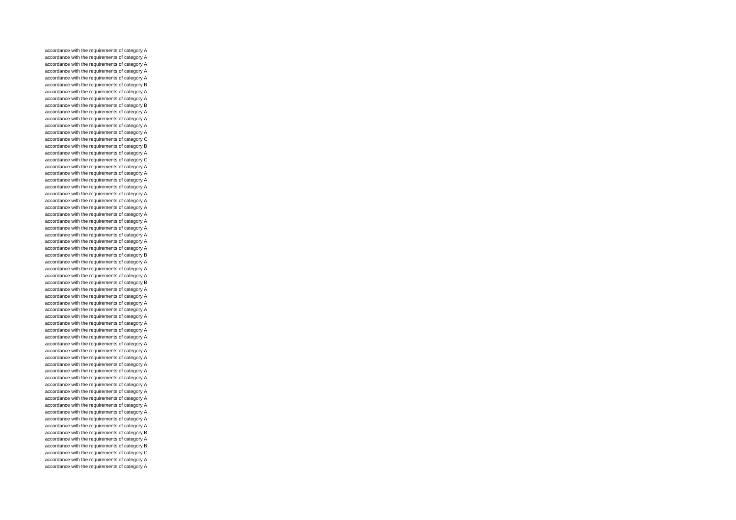accordance with the requirements of category A accordance with the requirements of category A accordance with the requirements of category A accordance with the requirements of category A accordance with the requirements of category A accordance with the requirements of category B accordance with the requirements of category A accordance with the requirements of category A accordance with the requirements of category B accordance with the requirements of category A accordance with the requirements of category A accordance with the requirements of category A accordance with the requirements of category A accordance with the requirements of category C accordance with the requirements of category B accordance with the requirements of category A accordance with the requirements of category C accordance with the requirements of category A accordance with the requirements of category A accordance with the requirements of category A accordance with the requirements of category A accordance with the requirements of category A accordance with the requirements of category A accordance with the requirements of category A accordance with the requirements of category A accordance with the requirements of category A accordance with the requirements of category A accordance with the requirements of category A accordance with the requirements of category A accordance with the requirements of category A accordance with the requirements of category B accordance with the requirements of category A accordance with the requirements of category A accordance with the requirements of category A accordance with the requirements of category B accordance with the requirements of category A accordance with the requirements of category A accordance with the requirements of category A accordance with the requirements of category A accordance with the requirements of category A accordance with the requirements of category A accordance with the requirements of category A accordance with the requirements of category A accordance with the requirements of category A accordance with the requirements of category A accordance with the requirements of category A accordance with the requirements of category A accordance with the requirements of category A accordance with the requirements of category A accordance with the requirements of category A accordance with the requirements of category A accordance with the requirements of category A accordance with the requirements of category A accordance with the requirements of category A accordance with the requirements of category A accordance with the requirements of category A accordance with the requirements of category B accordance with the requirements of category A accordance with the requirements of category B accordance with the requirements of category C accordance with the requirements of category A accordance with the requirements of category A